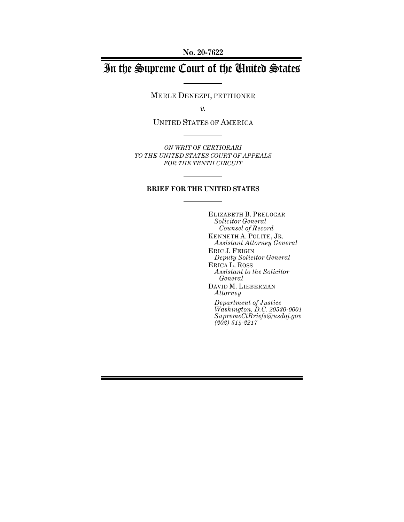**No. 20-7622**

# In the Supreme Court of the United States

MERLE DENEZPI, PETITIONER

*v.*

UNITED STATES OF AMERICA

*ON WRIT OF CERTIORARI TO THE UNITED STATES COURT OF APPEALS FOR THE TENTH CIRCUIT*

### **BRIEF FOR THE UNITED STATES**

ELIZABETH B. PRELOGAR *Solicitor General Counsel of Record* KENNETH A. POLITE, JR. *Assistant Attorney General* ERIC J. FEIGIN *Deputy Solicitor General* ERICA L. ROSS *Assistant to the Solicitor General* DAVID M. LIEBERMAN *Attorney Department of Justice Washington, D.C. 20530-0001 SupremeCtBriefs@usdoj.gov (202) 514-2217*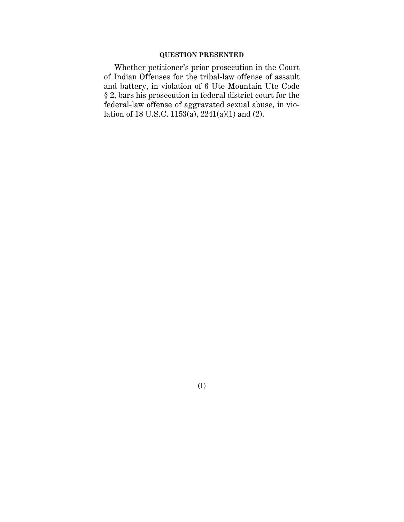### **QUESTION PRESENTED**

Whether petitioner's prior prosecution in the Court of Indian Offenses for the tribal-law offense of assault and battery, in violation of 6 Ute Mountain Ute Code § 2, bars his prosecution in federal district court for the federal-law offense of aggravated sexual abuse, in violation of 18 U.S.C. 1153(a), 2241(a)(1) and (2).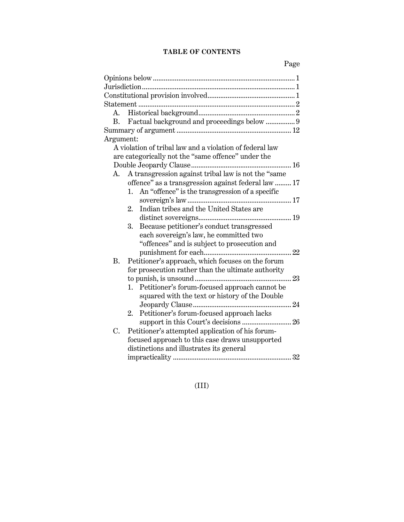# **TABLE OF CONTENTS**

| Factual background and proceedings below  9<br>B.              |
|----------------------------------------------------------------|
|                                                                |
| Argument:                                                      |
| A violation of tribal law and a violation of federal law       |
| are categorically not the "same offence" under the             |
|                                                                |
| A transgression against tribal law is not the "same<br>A.      |
| offence" as a transgression against federal law  17            |
| An "offence" is the transgression of a specific<br>1.          |
|                                                                |
| Indian tribes and the United States are<br>$\overline{2}$ .    |
|                                                                |
| Because petitioner's conduct transgressed<br>3.                |
| each sovereign's law, he committed two                         |
| "offences" and is subject to prosecution and                   |
|                                                                |
| Petitioner's approach, which focuses on the forum<br><b>B.</b> |
| for prosecution rather than the ultimate authority             |
|                                                                |
| 1. Petitioner's forum-focused approach cannot be               |
| squared with the text or history of the Double                 |
|                                                                |
| Petitioner's forum-focused approach lacks<br>2.                |
| support in this Court's decisions  26                          |
| Petitioner's attempted application of his forum-<br>C.         |
| focused approach to this case draws unsupported                |
| distinctions and illustrates its general                       |
|                                                                |

(III)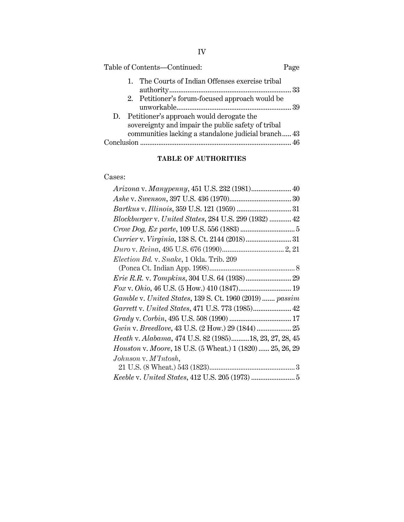| Table of Contents-Continued:                                                                                                                             | Page |
|----------------------------------------------------------------------------------------------------------------------------------------------------------|------|
| The Courts of Indian Offenses exercise tribal<br>1.                                                                                                      |      |
| 2. Petitioner's forum-focused approach would be                                                                                                          |      |
| D. Petitioner's approach would derogate the<br>sovereignty and impair the public safety of tribal<br>communities lacking a standalone judicial branch 43 |      |
|                                                                                                                                                          |      |

# **TABLE OF AUTHORITIES**

# Cases:

| Arizona v. Manypenny, 451 U.S. 232 (1981) 40              |  |
|-----------------------------------------------------------|--|
|                                                           |  |
|                                                           |  |
| Blockburger v. United States, 284 U.S. 299 (1932)  42     |  |
|                                                           |  |
|                                                           |  |
|                                                           |  |
| Election Bd. v. Snake, 1 Okla. Trib. 209                  |  |
|                                                           |  |
|                                                           |  |
| Fox v. Ohio, 46 U.S. (5 How.) 410 (1847) 19               |  |
| Gamble v. United States, 139 S. Ct. 1960 (2019)  passim   |  |
| Garrett v. United States, 471 U.S. 773 (1985) 42          |  |
|                                                           |  |
| Gwin v. Breedlove, 43 U.S. (2 How.) 29 (1844)  25         |  |
| Heath v. Alabama, 474 U.S. 82 (1985)18, 23, 27, 28, 45    |  |
| Houston v. Moore, 18 U.S. (5 Wheat.) 1 (1820)  25, 26, 29 |  |
| Johnson v. M'Intosh,                                      |  |
|                                                           |  |
|                                                           |  |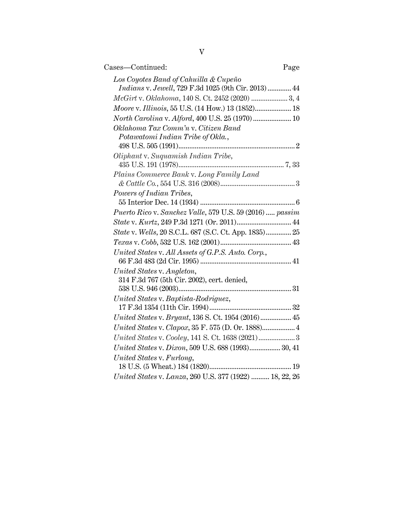| Cases-Continued:<br>Page                                                                     |  |
|----------------------------------------------------------------------------------------------|--|
| Los Coyotes Band of Cahuilla & Cupeño<br>Indians v. Jewell, 729 F.3d 1025 (9th Cir. 2013) 44 |  |
| McGirt v. Oklahoma, 140 S. Ct. 2452 (2020)  3, 4                                             |  |
| <i>Moore v. Illinois</i> , 55 U.S. (14 How.) 13 (1852) 18                                    |  |
| North Carolina v. Alford, 400 U.S. 25 (1970) 10                                              |  |
| Oklahoma Tax Comm'n v. Citizen Band<br>Potawatomi Indian Tribe of Okla.,                     |  |
| Oliphant v. Suquamish Indian Tribe,                                                          |  |
|                                                                                              |  |
| Plains Commerce Bank v. Long Family Land                                                     |  |
|                                                                                              |  |
| Powers of Indian Tribes,                                                                     |  |
| Puerto Rico v. Sanchez Valle, 579 U.S. 59 (2016)  passim                                     |  |
|                                                                                              |  |
| State v. Wells, 20 S.C.L. 687 (S.C. Ct. App. 1835) 25                                        |  |
|                                                                                              |  |
| United States v. All Assets of G.P.S. Auto. Corp.,                                           |  |
| United States v. Angleton,                                                                   |  |
| 314 F.3d 767 (5th Cir. 2002), cert. denied,                                                  |  |
|                                                                                              |  |
| United States v. Baptista-Rodriguez,                                                         |  |
| United States v. Bryant, 136 S. Ct. 1954 (2016) 45                                           |  |
| United States v. Clapox, 35 F. 575 (D. Or. 1888) 4                                           |  |
|                                                                                              |  |
| United States v. Dixon, 509 U.S. 688 (1993) 30, 41                                           |  |
| United States v. Furlong,                                                                    |  |
|                                                                                              |  |
| United States v. Lanza, 260 U.S. 377 (1922)  18, 22, 26                                      |  |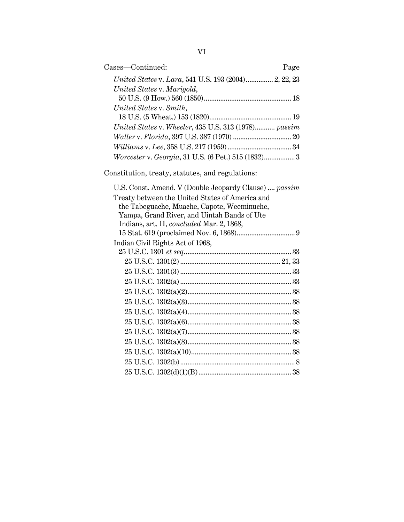| Cases-Continued:                                      | Page |
|-------------------------------------------------------|------|
| United States v. Lara, 541 U.S. 193 (2004) 2, 22, 23  |      |
| United States v. Marigold,                            |      |
|                                                       |      |
| United States v. Smith,                               |      |
|                                                       |      |
| United States v. Wheeler, 435 U.S. 313 (1978) passim  |      |
|                                                       |      |
|                                                       |      |
| Worcester v. Georgia, 31 U.S. (6 Pet.) 515 (1832) 3   |      |
| Constitution, treaty, statutes, and regulations:      |      |
| U.S. Const. Amend. V (Double Jeopardy Clause)  passim |      |
| Treaty between the United States of America and       |      |
| the Tabeguache, Muache, Capote, Weeminuche,           |      |
| Yampa, Grand River, and Uintah Bands of Ute           |      |
| Indians, art. II, concluded Mar. 2, 1868,             |      |
|                                                       |      |
| Indian Civil Rights Act of 1968,                      |      |
|                                                       |      |
|                                                       |      |
|                                                       |      |
|                                                       |      |
|                                                       |      |
|                                                       |      |
|                                                       |      |
|                                                       |      |
|                                                       |      |
|                                                       |      |
|                                                       |      |
|                                                       |      |
|                                                       |      |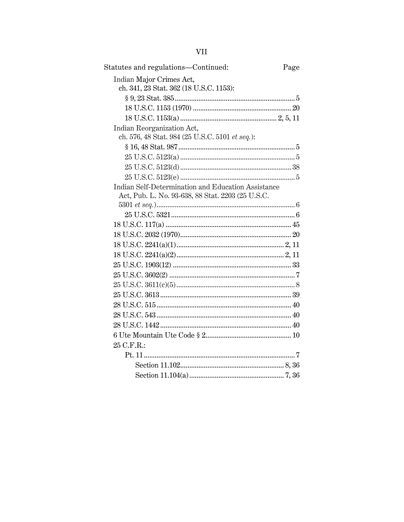| Statutes and regulations-Continued:                | Page |
|----------------------------------------------------|------|
| Indian Major Crimes Act,                           |      |
| ch. 341, 23 Stat. 362 (18 U.S.C. 1153):            |      |
|                                                    |      |
|                                                    |      |
|                                                    |      |
| Indian Reorganization Act,                         |      |
| ch. 576, 48 Stat. 984 (25 U.S.C. 5101 et seq.):    |      |
|                                                    |      |
|                                                    |      |
|                                                    |      |
|                                                    |      |
| Indian Self-Determination and Education Assistance |      |
| Act, Pub. L. No. 93-638, 88 Stat. 2203 (25 U.S.C.  |      |
|                                                    |      |
|                                                    |      |
|                                                    |      |
|                                                    |      |
|                                                    |      |
|                                                    |      |
|                                                    |      |
|                                                    |      |
|                                                    |      |
|                                                    |      |
|                                                    |      |
|                                                    |      |
|                                                    |      |
|                                                    |      |
| 25 C.F.R.:                                         |      |
|                                                    |      |
|                                                    |      |
|                                                    |      |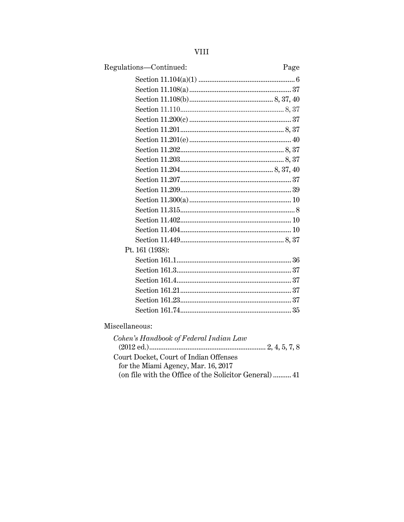| Regulations-Continued:                    | Page |
|-------------------------------------------|------|
|                                           |      |
|                                           |      |
|                                           |      |
|                                           |      |
|                                           |      |
|                                           |      |
|                                           |      |
|                                           |      |
|                                           |      |
|                                           |      |
|                                           |      |
|                                           |      |
|                                           |      |
|                                           |      |
|                                           |      |
|                                           |      |
|                                           |      |
| Pt. 161 (1938):                           |      |
|                                           |      |
|                                           |      |
|                                           |      |
|                                           |      |
|                                           |      |
|                                           |      |
| Miscellaneous:                            |      |
| $Cohom$ 's Handbook of Esdeval Indian Law |      |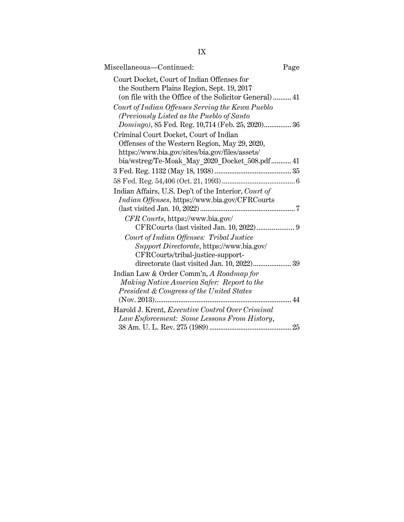| 정도 시<br>۰. |
|------------|
|            |

| Miscellaneous-Continued:                              | Page |
|-------------------------------------------------------|------|
| Court Docket, Court of Indian Offenses for            |      |
| the Southern Plains Region, Sept. 19, 2017            |      |
| (on file with the Office of the Solicitor General) 41 |      |
| Court of Indian Offenses Serving the Kewa Pueblo      |      |
| (Previously Listed as the Pueblo of Santo             |      |
| Domingo), 85 Fed. Reg. 10,714 (Feb. 25, 2020) 36      |      |
| Criminal Court Docket, Court of Indian                |      |
| Offenses of the Western Region, May 29, 2020,         |      |
| https://www.bia.gov/sites/bia.gov/files/assets/       |      |
| bia/wstreg/Te-Moak_May_2020_Docket_508.pdf 41         |      |
|                                                       |      |
|                                                       |      |
| Indian Affairs, U.S. Dep't of the Interior, Court of  |      |
| Indian Offenses, https://www.bia.gov/CFRCourts        |      |
|                                                       |      |
| CFR Courts, https://www.bia.gov/                      |      |
|                                                       |      |
| Court of Indian Offenses: Tribal Justice              |      |
| Support Directorate, https://www.bia.gov/             |      |
| CFRCourts/tribal-justice-support-                     |      |
| directorate (last visited Jan. 10, 2022) 39           |      |
| Indian Law & Order Comm'n, A Roadmap for              |      |
| Making Native America Safer: Report to the            |      |
| President & Congress of the United States             |      |
|                                                       |      |
| Harold J. Krent, Executive Control Over Criminal      |      |
| Law Enforcement: Some Lessons From History,           |      |
|                                                       |      |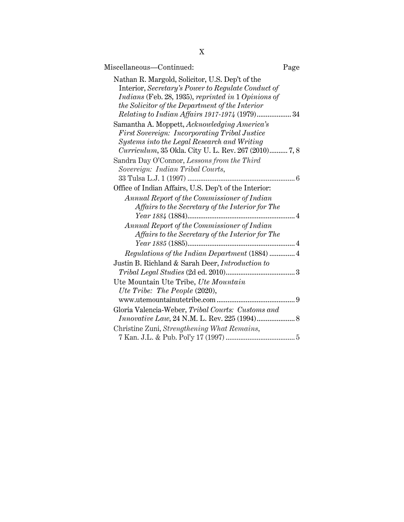| Miscellaneous-Continued:                                                                                                                                                                                                                                                 | Page |
|--------------------------------------------------------------------------------------------------------------------------------------------------------------------------------------------------------------------------------------------------------------------------|------|
| Nathan R. Margold, Solicitor, U.S. Dep't of the<br>Interior, Secretary's Power to Regulate Conduct of<br>Indians (Feb. 28, 1935), reprinted in 1 Opinions of<br>the Solicitor of the Department of the Interior<br><i>Relating to Indian Affairs 1917-1974</i> (1979) 34 |      |
| Samantha A. Moppett, Acknowledging America's<br><b>First Sovereign: Incorporating Tribal Justice</b><br>Systems into the Legal Research and Writing<br>Curriculum, 35 Okla. City U. L. Rev. 267 (2010) 7, 8                                                              |      |
| Sandra Day O'Connor, Lessons from the Third<br>Sovereign: Indian Tribal Courts,                                                                                                                                                                                          |      |
| Office of Indian Affairs, U.S. Dep't of the Interior:<br>Annual Report of the Commissioner of Indian<br>Affairs to the Secretary of the Interior for The                                                                                                                 |      |
| Annual Report of the Commissioner of Indian<br>Affairs to the Secretary of the Interior for The                                                                                                                                                                          |      |
| Justin B. Richland & Sarah Deer, <i>Introduction to</i>                                                                                                                                                                                                                  |      |
| Ute Mountain Ute Tribe, Ute Mountain<br>Ute Tribe: The People (2020),                                                                                                                                                                                                    |      |
| Gloria Valencia-Weber, Tribal Courts: Customs and<br>Christine Zuni, Strengthening What Remains,                                                                                                                                                                         |      |
|                                                                                                                                                                                                                                                                          |      |

X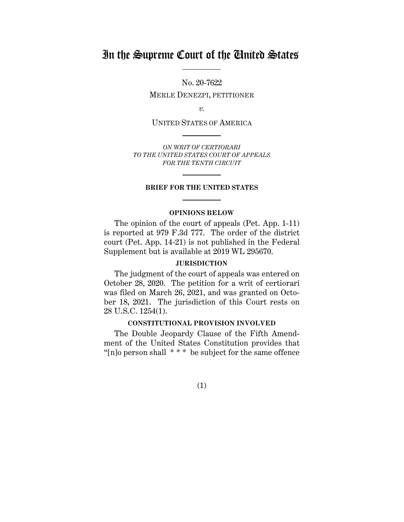# In the Supreme Court of the United States

No. 20-7622

MERLE DENEZPI, PETITIONER

*v.*

UNITED STATES OF AMERICA

*ON WRIT OF CERTIORARI TO THE UNITED STATES COURT OF APPEALS FOR THE TENTH CIRCUIT*

### **BRIEF FOR THE UNITED STATES**

#### **OPINIONS BELOW**

The opinion of the court of appeals (Pet. App. 1-11) is reported at 979 F.3d 777. The order of the district court (Pet. App. 14-21) is not published in the Federal Supplement but is available at 2019 WL 295670.

### **JURISDICTION**

The judgment of the court of appeals was entered on October 28, 2020. The petition for a writ of certiorari was filed on March 26, 2021, and was granted on October 18, 2021. The jurisdiction of this Court rests on 28 U.S.C. 1254(1).

### **CONSTITUTIONAL PROVISION INVOLVED**

The Double Jeopardy Clause of the Fifth Amendment of the United States Constitution provides that "[n]o person shall \* \* \* be subject for the same offence

(1)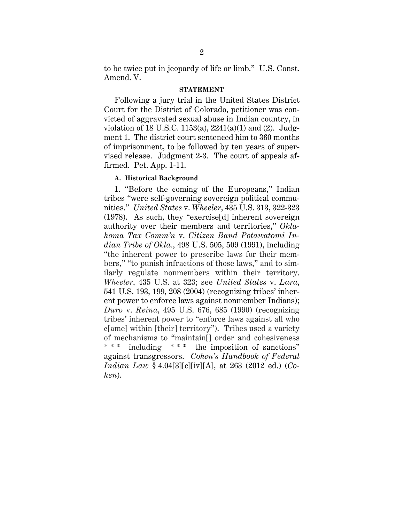to be twice put in jeopardy of life or limb." U.S. Const. Amend. V.

#### **STATEMENT**

Following a jury trial in the United States District Court for the District of Colorado, petitioner was convicted of aggravated sexual abuse in Indian country, in violation of 18 U.S.C. 1153(a),  $2241(a)(1)$  and  $(2)$ . Judgment 1. The district court sentenced him to 360 months of imprisonment, to be followed by ten years of supervised release. Judgment 2-3. The court of appeals affirmed. Pet. App. 1-11.

### **A. Historical Background**

1. "Before the coming of the Europeans," Indian tribes "were self-governing sovereign political communities." *United States* v. *Wheeler*, 435 U.S. 313, 322-323 (1978). As such, they "exercise[d] inherent sovereign authority over their members and territories," *Oklahoma Tax Comm'n* v. *Citizen Band Potawatomi Indian Tribe of Okla.*, 498 U.S. 505, 509 (1991), including "the inherent power to prescribe laws for their members," "to punish infractions of those laws," and to similarly regulate nonmembers within their territory. *Wheeler*, 435 U.S. at 323; see *United States* v. *Lara*, 541 U.S. 193, 199, 208 (2004) (recognizing tribes' inherent power to enforce laws against nonmember Indians); *Duro* v. *Reina*, 495 U.S. 676, 685 (1990) (recognizing tribes' inherent power to "enforce laws against all who c[ame] within [their] territory"). Tribes used a variety of mechanisms to "maintain[] order and cohesiveness including  $***$  the imposition of sanctions" against transgressors. *Cohen's Handbook of Federal Indian Law* § 4.04[3][c][iv][A], at 263 (2012 ed.) (*Cohen*).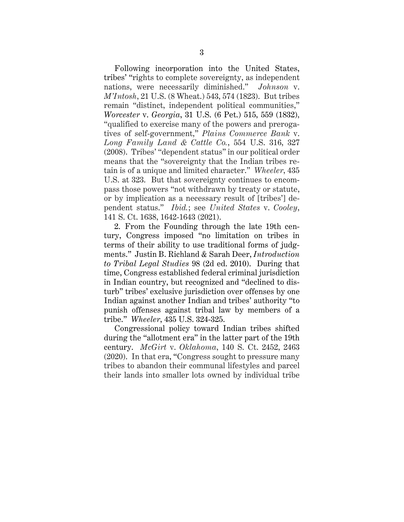Following incorporation into the United States, tribes' "rights to complete sovereignty, as independent nations, were necessarily diminished." *Johnson* v. *M'Intosh*, 21 U.S. (8 Wheat.) 543, 574 (1823). But tribes remain "distinct, independent political communities," *Worcester* v. *Georgia*, 31 U.S. (6 Pet.) 515, 559 (1832), "qualified to exercise many of the powers and prerogatives of self-government," *Plains Commerce Bank* v. *Long Family Land & Cattle Co.*, 554 U.S. 316, 327 (2008). Tribes' "dependent status" in our political order means that the "sovereignty that the Indian tribes retain is of a unique and limited character." *Wheeler*, 435 U.S. at 323. But that sovereignty continues to encompass those powers "not withdrawn by treaty or statute, or by implication as a necessary result of [tribes'] dependent status." *Ibid.*; see *United States* v. *Cooley*, 141 S. Ct. 1638, 1642-1643 (2021).

2. From the Founding through the late 19th century, Congress imposed "no limitation on tribes in terms of their ability to use traditional forms of judgments." Justin B. Richland & Sarah Deer, *Introduction to Tribal Legal Studies* 98 (2d ed. 2010). During that time, Congress established federal criminal jurisdiction in Indian country, but recognized and "declined to disturb" tribes' exclusive jurisdiction over offenses by one Indian against another Indian and tribes' authority "to punish offenses against tribal law by members of a tribe." *Wheeler*, 435 U.S. 324-325.

Congressional policy toward Indian tribes shifted during the "allotment era" in the latter part of the 19th century. *McGirt* v. *Oklahoma*, 140 S. Ct. 2452, 2463 (2020). In that era, "Congress sought to pressure many tribes to abandon their communal lifestyles and parcel their lands into smaller lots owned by individual tribe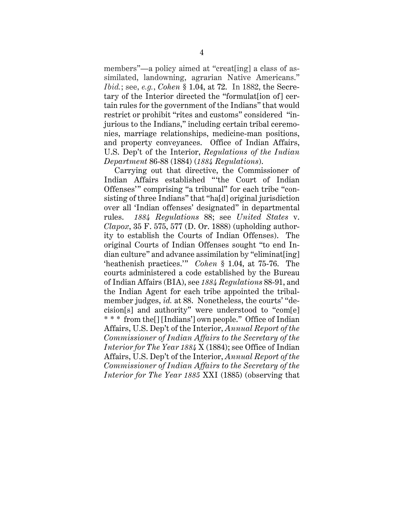members"—a policy aimed at "creat[ing] a class of assimilated, landowning, agrarian Native Americans." *Ibid.*; see, *e.g.*, *Cohen* § 1.04, at 72. In 1882, the Secretary of the Interior directed the "formulat[ion of] certain rules for the government of the Indians" that would restrict or prohibit "rites and customs" considered "injurious to the Indians," including certain tribal ceremonies, marriage relationships, medicine-man positions, and property conveyances. Office of Indian Affairs, U.S. Dep't of the Interior, *Regulations of the Indian Department* 86-88 (1884) (*1884 Regulations*).

Carrying out that directive, the Commissioner of Indian Affairs established "'the Court of Indian Offenses'" comprising "a tribunal" for each tribe "consisting of three Indians" that "ha[d] original jurisdiction over all 'Indian offenses' designated" in departmental rules. *1884 Regulations* 88; see *United States* v. *Clapox*, 35 F. 575, 577 (D. Or. 1888) (upholding authority to establish the Courts of Indian Offenses). The original Courts of Indian Offenses sought "to end Indian culture" and advance assimilation by "eliminat[ing] 'heathenish practices.'" *Cohen* § 1.04, at 75-76. The courts administered a code established by the Bureau of Indian Affairs (BIA), see *1884 Regulations* 88-91, and the Indian Agent for each tribe appointed the tribalmember judges, *id.* at 88. Nonetheless, the courts' "decision[s] and authority" were understood to "com[e] \* \* \* from the[] [Indians'] own people." Office of Indian Affairs, U.S. Dep't of the Interior, *Annual Report of the Commissioner of Indian Affairs to the Secretary of the Interior for The Year 1884* X (1884); see Office of Indian Affairs, U.S. Dep't of the Interior, *Annual Report of the Commissioner of Indian Affairs to the Secretary of the Interior for The Year 1885* XXI (1885) (observing that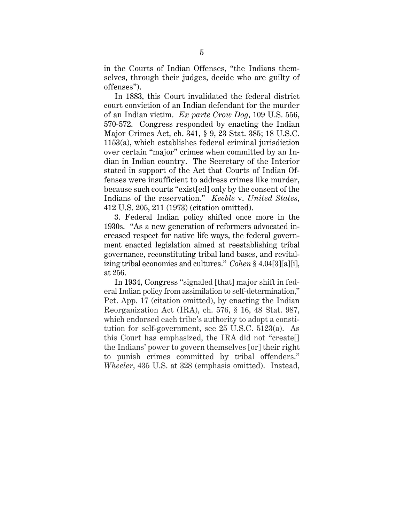in the Courts of Indian Offenses, "the Indians themselves, through their judges, decide who are guilty of offenses").

In 1883, this Court invalidated the federal district court conviction of an Indian defendant for the murder of an Indian victim. *Ex parte Crow Dog*, 109 U.S. 556, 570-572. Congress responded by enacting the Indian Major Crimes Act, ch. 341, § 9, 23 Stat. 385; 18 U.S.C. 1153(a), which establishes federal criminal jurisdiction over certain "major" crimes when committed by an Indian in Indian country. The Secretary of the Interior stated in support of the Act that Courts of Indian Offenses were insufficient to address crimes like murder, because such courts "exist[ed] only by the consent of the Indians of the reservation." *Keeble* v. *United States*, 412 U.S. 205, 211 (1973) (citation omitted).

3. Federal Indian policy shifted once more in the 1930s. "As a new generation of reformers advocated increased respect for native life ways, the federal government enacted legislation aimed at reestablishing tribal governance, reconstituting tribal land bases, and revitalizing tribal economies and cultures." *Cohen* § 4.04[3][a][i], at 256.

In 1934, Congress "signaled [that] major shift in federal Indian policy from assimilation to self-determination," Pet. App. 17 (citation omitted), by enacting the Indian Reorganization Act (IRA), ch. 576, § 16, 48 Stat. 987, which endorsed each tribe's authority to adopt a constitution for self-government, see 25 U.S.C. 5123(a). As this Court has emphasized, the IRA did not "create[] the Indians' power to govern themselves [or] their right to punish crimes committed by tribal offenders." *Wheeler*, 435 U.S. at 328 (emphasis omitted). Instead,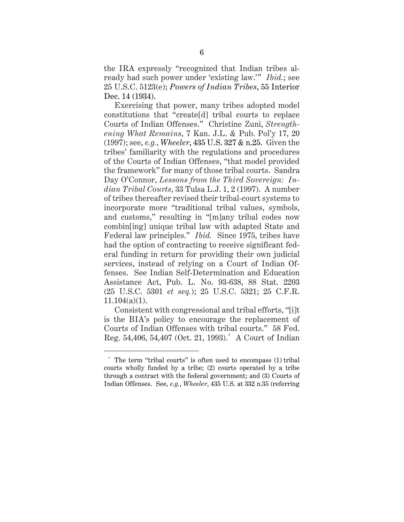the IRA expressly "recognized that Indian tribes already had such power under 'existing law.'" *Ibid.*; see 25 U.S.C. 5123(e); *Powers of Indian Tribes*, 55 Interior Dec. 14 (1934).

Exercising that power, many tribes adopted model constitutions that "create[d] tribal courts to replace Courts of Indian Offenses." Christine Zuni, *Strengthening What Remains*, 7 Kan. J.L. & Pub. Pol'y 17, 20 (1997); see, *e.g.*, *Wheeler*, 435 U.S. 327 & n.25. Given the tribes' familiarity with the regulations and procedures of the Courts of Indian Offenses, "that model provided the framework" for many of those tribal courts. Sandra Day O'Connor, *Lessons from the Third Sovereign: Indian Tribal Courts*, 33 Tulsa L.J. 1, 2 (1997). A number of tribes thereafter revised their tribal-court systems to incorporate more "traditional tribal values, symbols, and customs," resulting in "[m]any tribal codes now combin[ing] unique tribal law with adapted State and Federal law principles." *Ibid.* Since 1975, tribes have had the option of contracting to receive significant federal funding in return for providing their own judicial services, instead of relying on a Court of Indian Offenses. See Indian Self-Determination and Education Assistance Act, Pub. L. No. 93-638, 88 Stat. 2203 (25 U.S.C. 5301 *et seq.*); 25 U.S.C. 5321; 25 C.F.R.  $11.104(a)(1)$ .

Consistent with congressional and tribal efforts, "[i]t is the BIA's policy to encourage the replacement of Courts of Indian Offenses with tribal courts." 58 Fed. Reg. 54,406, 54,407 (Oct. 21, 1993).\* A Court of Indian

The term "tribal courts" is often used to encompass (1) tribal courts wholly funded by a tribe; (2) courts operated by a tribe through a contract with the federal government; and (3) Courts of Indian Offenses. See, *e.g.*, *Wheeler*, 435 U.S. at 332 n.35 (referring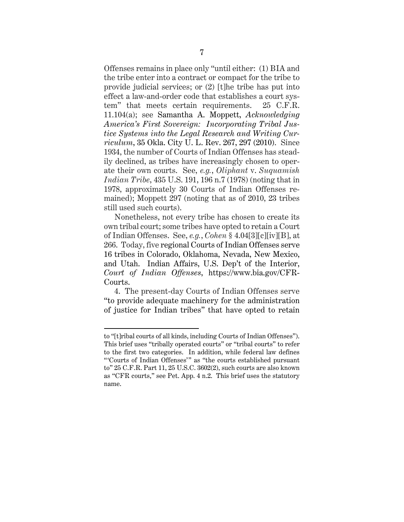Offenses remains in place only "until either: (1) BIA and the tribe enter into a contract or compact for the tribe to provide judicial services; or (2) [t]he tribe has put into effect a law-and-order code that establishes a court system" that meets certain requirements. 25 C.F.R. 11.104(a); see Samantha A. Moppett, *Acknowledging America's First Sovereign: Incorporating Tribal Justice Systems into the Legal Research and Writing Curriculum*, 35 Okla. City U. L. Rev. 267, 297 (2010). Since 1934, the number of Courts of Indian Offenses has steadily declined, as tribes have increasingly chosen to operate their own courts. See, *e.g.*, *Oliphant* v. *Suquamish Indian Tribe*, 435 U.S. 191, 196 n.7 (1978) (noting that in 1978, approximately 30 Courts of Indian Offenses remained); Moppett 297 (noting that as of 2010, 23 tribes still used such courts).

Nonetheless, not every tribe has chosen to create its own tribal court; some tribes have opted to retain a Court of Indian Offenses. See, *e.g.*, *Cohen* § 4.04[3][c][iv][B], at 266. Today, five regional Courts of Indian Offenses serve 16 tribes in Colorado, Oklahoma, Nevada, New Mexico, and Utah. Indian Affairs, U.S. Dep't of the Interior, *Court of Indian Offenses*, https://www.bia.gov/CFR-Courts.

4. The present-day Courts of Indian Offenses serve "to provide adequate machinery for the administration of justice for Indian tribes" that have opted to retain

to "[t]ribal courts of all kinds, including Courts of Indian Offenses"). This brief uses "tribally operated courts" or "tribal courts" to refer to the first two categories. In addition, while federal law defines "'Courts of Indian Offenses'" as "the courts established pursuant to" 25 C.F.R. Part 11, 25 U.S.C. 3602(2), such courts are also known as "CFR courts," see Pet. App. 4 n.2. This brief uses the statutory name.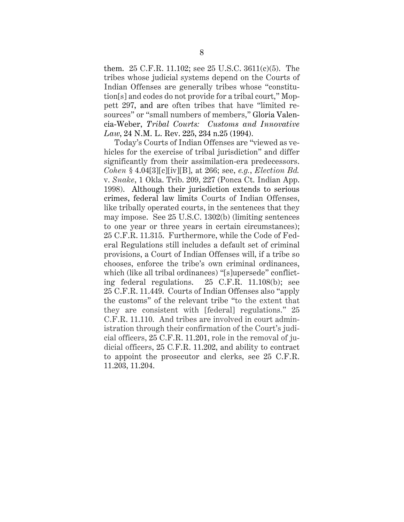them. 25 C.F.R. 11.102; see 25 U.S.C. 3611(c)(5). The tribes whose judicial systems depend on the Courts of Indian Offenses are generally tribes whose "constitution[s] and codes do not provide for a tribal court," Moppett 297, and are often tribes that have "limited resources" or "small numbers of members," Gloria Valencia-Weber, *Tribal Courts: Customs and Innovative Law*, 24 N.M. L. Rev. 225, 234 n.25 (1994).

Today's Courts of Indian Offenses are "viewed as vehicles for the exercise of tribal jurisdiction" and differ significantly from their assimilation-era predecessors. *Cohen* § 4.04[3][c][iv][B], at 266; see, *e.g.*, *Election Bd.*  v. *Snake*, 1 Okla. Trib. 209, 227 (Ponca Ct. Indian App. 1998). Although their jurisdiction extends to serious crimes, federal law limits Courts of Indian Offenses, like tribally operated courts, in the sentences that they may impose. See 25 U.S.C. 1302(b) (limiting sentences to one year or three years in certain circumstances); 25 C.F.R. 11.315. Furthermore, while the Code of Federal Regulations still includes a default set of criminal provisions, a Court of Indian Offenses will, if a tribe so chooses, enforce the tribe's own criminal ordinances, which (like all tribal ordinances) "[s]upersede" conflicting federal regulations. 25 C.F.R. 11.108(b); see 25 C.F.R. 11.449. Courts of Indian Offenses also "apply the customs" of the relevant tribe "to the extent that they are consistent with [federal] regulations." 25 C.F.R. 11.110. And tribes are involved in court administration through their confirmation of the Court's judicial officers, 25 C.F.R. 11.201, role in the removal of judicial officers, 25 C*.*F.R. 11.202, and ability to contract to appoint the prosecutor and clerks, see 25 C.F.R. 11.203, 11.204.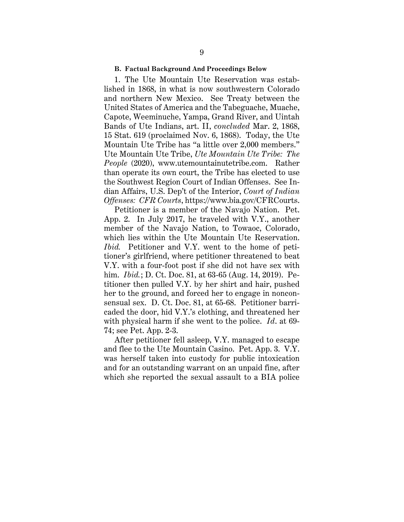#### **B. Factual Background And Proceedings Below**

 1. The Ute Mountain Ute Reservation was established in 1868, in what is now southwestern Colorado and northern New Mexico. See Treaty between the United States of America and the Tabeguache, Muache, Capote, Weeminuche, Yampa, Grand River, and Uintah Bands of Ute Indians, art. II, *concluded* Mar. 2, 1868, 15 Stat. 619 (proclaimed Nov. 6, 1868). Today, the Ute Mountain Ute Tribe has "a little over 2,000 members." Ute Mountain Ute Tribe, *Ute Mountain Ute Tribe: The People* (2020), www.utemountainutetribe.com. Rather than operate its own court, the Tribe has elected to use the Southwest Region Court of Indian Offenses. See Indian Affairs, U.S. Dep't of the Interior, *Court of Indian Offenses: CFR Courts*, https://www.bia.gov/CFRCourts.

Petitioner is a member of the Navajo Nation. Pet. App. 2. In July 2017, he traveled with V.Y., another member of the Navajo Nation, to Towaoc, Colorado, which lies within the Ute Mountain Ute Reservation. *Ibid.* Petitioner and V.Y. went to the home of petitioner's girlfriend, where petitioner threatened to beat V.Y. with a four-foot post if she did not have sex with him. *Ibid.*; D. Ct. Doc. 81, at 63-65 (Aug. 14, 2019). Petitioner then pulled V.Y. by her shirt and hair, pushed her to the ground, and forced her to engage in nonconsensual sex. D. Ct. Doc. 81, at 65-68. Petitioner barricaded the door, hid V.Y.'s clothing, and threatened her with physical harm if she went to the police. *Id*. at 69- 74; see Pet. App. 2-3.

After petitioner fell asleep, V.Y. managed to escape and flee to the Ute Mountain Casino. Pet. App. 3. V.Y. was herself taken into custody for public intoxication and for an outstanding warrant on an unpaid fine, after which she reported the sexual assault to a BIA police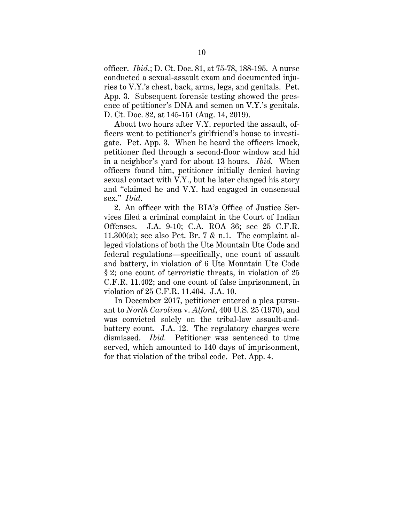officer. *Ibid*.; D. Ct. Doc. 81, at 75-78, 188-195. A nurse conducted a sexual-assault exam and documented injuries to V.Y.'s chest, back, arms, legs, and genitals. Pet. App. 3. Subsequent forensic testing showed the presence of petitioner's DNA and semen on V.Y.'s genitals. D. Ct. Doc. 82, at 145-151 (Aug. 14, 2019).

About two hours after V.Y. reported the assault, officers went to petitioner's girlfriend's house to investigate. Pet. App. 3. When he heard the officers knock, petitioner fled through a second-floor window and hid in a neighbor's yard for about 13 hours. *Ibid.* When officers found him, petitioner initially denied having sexual contact with V.Y., but he later changed his story and "claimed he and V.Y. had engaged in consensual sex." *Ibid*.

2. An officer with the BIA's Office of Justice Services filed a criminal complaint in the Court of Indian Offenses. J.A. 9-10; C.A. ROA 36; see 25 C.F.R. 11.300(a); see also Pet. Br. 7  $\&$  n.1. The complaint alleged violations of both the Ute Mountain Ute Code and federal regulations—specifically, one count of assault and battery, in violation of 6 Ute Mountain Ute Code § 2; one count of terroristic threats, in violation of 25 C.F.R. 11.402; and one count of false imprisonment, in violation of 25 C.F.R. 11.404. J.A. 10.

In December 2017, petitioner entered a plea pursuant to *North Carolina* v. *Alford*, 400 U.S. 25 (1970), and was convicted solely on the tribal-law assault-andbattery count. J.A. 12. The regulatory charges were dismissed. *Ibid.* Petitioner was sentenced to time served, which amounted to 140 days of imprisonment, for that violation of the tribal code. Pet. App. 4.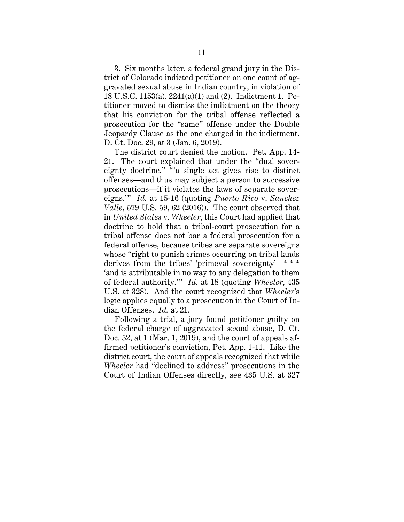3. Six months later, a federal grand jury in the District of Colorado indicted petitioner on one count of aggravated sexual abuse in Indian country, in violation of 18 U.S.C. 1153(a), 2241(a)(1) and (2). Indictment 1. Petitioner moved to dismiss the indictment on the theory that his conviction for the tribal offense reflected a prosecution for the "same" offense under the Double Jeopardy Clause as the one charged in the indictment. D. Ct. Doc. 29, at 3 (Jan. 6, 2019).

The district court denied the motion. Pet. App. 14- 21. The court explained that under the "dual sovereignty doctrine," "a single act gives rise to distinct offenses—and thus may subject a person to successive prosecutions—if it violates the laws of separate sovereigns.'" *Id.* at 15-16 (quoting *Puerto Rico* v. *Sanchez Valle*, 579 U.S. 59, 62 (2016)). The court observed that in *United States* v. *Wheeler*, this Court had applied that doctrine to hold that a tribal-court prosecution for a tribal offense does not bar a federal prosecution for a federal offense, because tribes are separate sovereigns whose "right to punish crimes occurring on tribal lands derives from the tribes' 'primeval sovereignty' \* \* \* 'and is attributable in no way to any delegation to them of federal authority.'" *Id.* at 18 (quoting *Wheeler*, 435 U.S. at 328). And the court recognized that *Wheeler*'s logic applies equally to a prosecution in the Court of Indian Offenses. *Id.* at 21.

Following a trial, a jury found petitioner guilty on the federal charge of aggravated sexual abuse, D. Ct. Doc. 52, at 1 (Mar. 1, 2019), and the court of appeals affirmed petitioner's conviction, Pet. App. 1-11. Like the district court, the court of appeals recognized that while *Wheeler* had "declined to address" prosecutions in the Court of Indian Offenses directly, see 435 U.S. at 327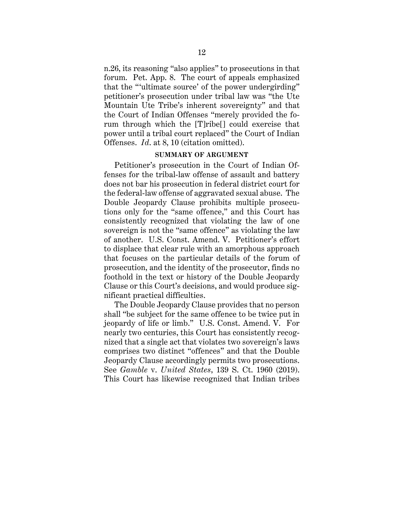n.26, its reasoning "also applies" to prosecutions in that forum. Pet. App. 8. The court of appeals emphasized that the "'ultimate source' of the power undergirding" petitioner's prosecution under tribal law was "the Ute Mountain Ute Tribe's inherent sovereignty" and that the Court of Indian Offenses "merely provided the forum through which the [T]ribe[] could exercise that power until a tribal court replaced" the Court of Indian Offenses. *Id*. at 8, 10 (citation omitted).

### **SUMMARY OF ARGUMENT**

Petitioner's prosecution in the Court of Indian Offenses for the tribal-law offense of assault and battery does not bar his prosecution in federal district court for the federal-law offense of aggravated sexual abuse. The Double Jeopardy Clause prohibits multiple prosecutions only for the "same offence," and this Court has consistently recognized that violating the law of one sovereign is not the "same offence" as violating the law of another. U.S. Const. Amend. V. Petitioner's effort to displace that clear rule with an amorphous approach that focuses on the particular details of the forum of prosecution, and the identity of the prosecutor, finds no foothold in the text or history of the Double Jeopardy Clause or this Court's decisions, and would produce significant practical difficulties.

The Double Jeopardy Clause provides that no person shall "be subject for the same offence to be twice put in jeopardy of life or limb." U.S. Const. Amend. V. For nearly two centuries, this Court has consistently recognized that a single act that violates two sovereign's laws comprises two distinct "offences" and that the Double Jeopardy Clause accordingly permits two prosecutions. See *Gamble* v. *United States*, 139 S. Ct. 1960 (2019). This Court has likewise recognized that Indian tribes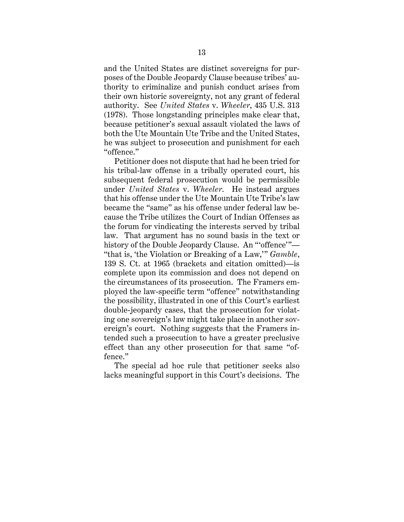and the United States are distinct sovereigns for purposes of the Double Jeopardy Clause because tribes' authority to criminalize and punish conduct arises from their own historic sovereignty, not any grant of federal authority. See *United States* v. *Wheeler*, 435 U.S. 313 (1978). Those longstanding principles make clear that, because petitioner's sexual assault violated the laws of both the Ute Mountain Ute Tribe and the United States, he was subject to prosecution and punishment for each "offence."

Petitioner does not dispute that had he been tried for his tribal-law offense in a tribally operated court, his subsequent federal prosecution would be permissible under *United States* v. *Wheeler*. He instead argues that his offense under the Ute Mountain Ute Tribe's law became the "same" as his offense under federal law because the Tribe utilizes the Court of Indian Offenses as the forum for vindicating the interests served by tribal law. That argument has no sound basis in the text or history of the Double Jeopardy Clause. An "offence"-"that is, 'the Violation or Breaking of a Law,'" *Gamble*, 139 S. Ct. at 1965 (brackets and citation omitted)—is complete upon its commission and does not depend on the circumstances of its prosecution. The Framers employed the law-specific term "offence" notwithstanding the possibility, illustrated in one of this Court's earliest double-jeopardy cases, that the prosecution for violating one sovereign's law might take place in another sovereign's court. Nothing suggests that the Framers intended such a prosecution to have a greater preclusive effect than any other prosecution for that same "offence."

The special ad hoc rule that petitioner seeks also lacks meaningful support in this Court's decisions. The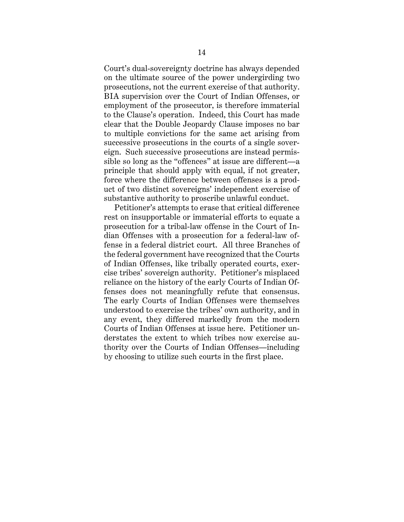Court's dual-sovereignty doctrine has always depended on the ultimate source of the power undergirding two prosecutions, not the current exercise of that authority. BIA supervision over the Court of Indian Offenses, or employment of the prosecutor, is therefore immaterial to the Clause's operation. Indeed, this Court has made clear that the Double Jeopardy Clause imposes no bar to multiple convictions for the same act arising from successive prosecutions in the courts of a single sovereign. Such successive prosecutions are instead permissible so long as the "offences" at issue are different—a principle that should apply with equal, if not greater, force where the difference between offenses is a product of two distinct sovereigns' independent exercise of substantive authority to proscribe unlawful conduct.

Petitioner's attempts to erase that critical difference rest on insupportable or immaterial efforts to equate a prosecution for a tribal-law offense in the Court of Indian Offenses with a prosecution for a federal-law offense in a federal district court. All three Branches of the federal government have recognized that the Courts of Indian Offenses, like tribally operated courts, exercise tribes' sovereign authority. Petitioner's misplaced reliance on the history of the early Courts of Indian Offenses does not meaningfully refute that consensus. The early Courts of Indian Offenses were themselves understood to exercise the tribes' own authority, and in any event, they differed markedly from the modern Courts of Indian Offenses at issue here. Petitioner understates the extent to which tribes now exercise authority over the Courts of Indian Offenses—including by choosing to utilize such courts in the first place.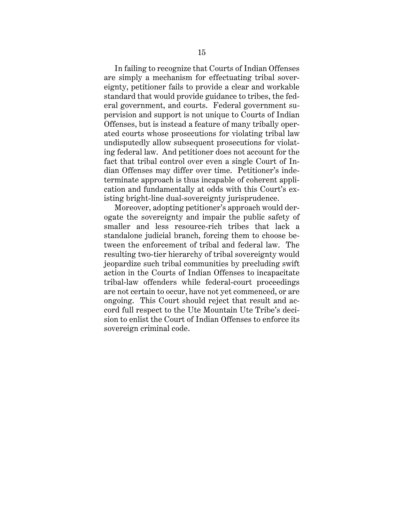In failing to recognize that Courts of Indian Offenses are simply a mechanism for effectuating tribal sovereignty, petitioner fails to provide a clear and workable standard that would provide guidance to tribes, the federal government, and courts. Federal government supervision and support is not unique to Courts of Indian Offenses, but is instead a feature of many tribally operated courts whose prosecutions for violating tribal law undisputedly allow subsequent prosecutions for violating federal law. And petitioner does not account for the fact that tribal control over even a single Court of Indian Offenses may differ over time. Petitioner's indeterminate approach is thus incapable of coherent application and fundamentally at odds with this Court's existing bright-line dual-sovereignty jurisprudence.

Moreover, adopting petitioner's approach would derogate the sovereignty and impair the public safety of smaller and less resource-rich tribes that lack a standalone judicial branch, forcing them to choose between the enforcement of tribal and federal law. The resulting two-tier hierarchy of tribal sovereignty would jeopardize such tribal communities by precluding swift action in the Courts of Indian Offenses to incapacitate tribal-law offenders while federal-court proceedings are not certain to occur, have not yet commenced, or are ongoing. This Court should reject that result and accord full respect to the Ute Mountain Ute Tribe's decision to enlist the Court of Indian Offenses to enforce its sovereign criminal code.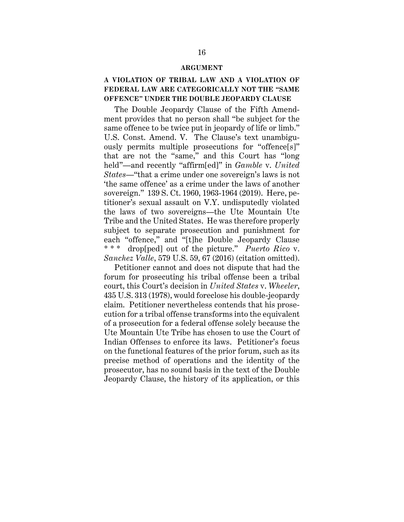#### **ARGUMENT**

## **A VIOLATION OF TRIBAL LAW AND A VIOLATION OF FEDERAL LAW ARE CATEGORICALLY NOT THE "SAME OFFENCE" UNDER THE DOUBLE JEOPARDY CLAUSE**

The Double Jeopardy Clause of the Fifth Amendment provides that no person shall "be subject for the same offence to be twice put in jeopardy of life or limb." U.S. Const. Amend. V. The Clause's text unambiguously permits multiple prosecutions for "offence[s]" that are not the "same," and this Court has "long held"—and recently "affirm[ed]" in *Gamble* v. *United States*—"that a crime under one sovereign's laws is not 'the same offence' as a crime under the laws of another sovereign." 139 S. Ct. 1960, 1963-1964 (2019). Here, petitioner's sexual assault on V.Y. undisputedly violated the laws of two sovereigns—the Ute Mountain Ute Tribe and the United States. He was therefore properly subject to separate prosecution and punishment for each "offence," and "[t]he Double Jeopardy Clause \* \* \* drop[ped] out of the picture." *Puerto Rico* v. *Sanchez Valle*, 579 U.S. 59, 67 (2016) (citation omitted).

Petitioner cannot and does not dispute that had the forum for prosecuting his tribal offense been a tribal court, this Court's decision in *United States* v. *Wheeler*, 435 U.S. 313 (1978), would foreclose his double-jeopardy claim. Petitioner nevertheless contends that his prosecution for a tribal offense transforms into the equivalent of a prosecution for a federal offense solely because the Ute Mountain Ute Tribe has chosen to use the Court of Indian Offenses to enforce its laws. Petitioner's focus on the functional features of the prior forum, such as its precise method of operations and the identity of the prosecutor, has no sound basis in the text of the Double Jeopardy Clause, the history of its application, or this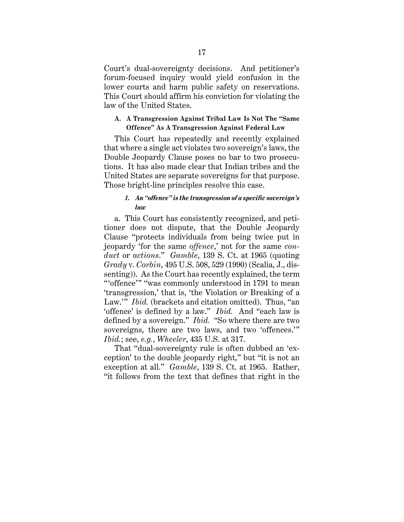Court's dual-sovereignty decisions. And petitioner's forum-focused inquiry would yield confusion in the lower courts and harm public safety on reservations. This Court should affirm his conviction for violating the law of the United States.

### **A. A Transgression Against Tribal Law Is Not The "Same Offence" As A Transgression Against Federal Law**

This Court has repeatedly and recently explained that where a single act violates two sovereign's laws, the Double Jeopardy Clause poses no bar to two prosecutions. It has also made clear that Indian tribes and the United States are separate sovereigns for that purpose. Those bright-line principles resolve this case.

### *1. An "offence" is the transgression of a specific sovereign's law*

a. This Court has consistently recognized, and petitioner does not dispute, that the Double Jeopardy Clause "protects individuals from being twice put in jeopardy 'for the same *offence*,' not for the same *conduct* or *actions*." *Gamble*, 139 S. Ct. at 1965 (quoting *Grady* v. *Corbin*, 495 U.S. 508, 529 (1990) (Scalia, J., dissenting)). As the Court has recently explained, the term "'offence'" "was commonly understood in 1791 to mean 'transgression,' that is, 'the Violation or Breaking of a Law." *Ibid.* (brackets and citation omitted). Thus, "an 'offence' is defined by a law." *Ibid.* And "each law is defined by a sovereign." *Ibid.* "So where there are two sovereigns, there are two laws, and two 'offences.'" *Ibid.*; see, *e.g.*, *Wheeler*, 435 U.S. at 317.

That "dual-sovereignty rule is often dubbed an 'exception' to the double jeopardy right," but "it is not an exception at all." *Gamble*, 139 S. Ct. at 1965. Rather, "it follows from the text that defines that right in the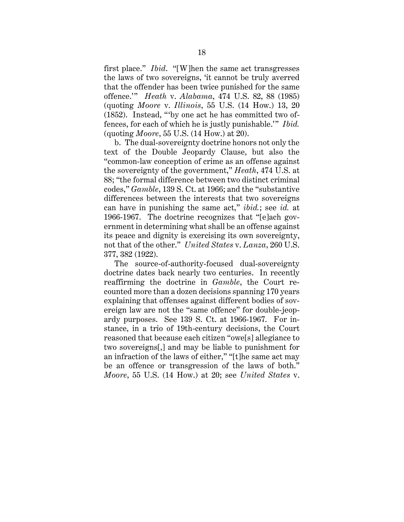first place." *Ibid*. "[W]hen the same act transgresses the laws of two sovereigns, 'it cannot be truly averred that the offender has been twice punished for the same offence.'" *Heath* v. *Alabama*, 474 U.S. 82, 88 (1985) (quoting *Moore* v. *Illinois*, 55 U.S. (14 How.) 13, 20 (1852). Instead, "'by one act he has committed two offences, for each of which he is justly punishable.'" *Ibid.*  (quoting *Moore*, 55 U.S. (14 How.) at 20).

b. The dual-sovereignty doctrine honors not only the text of the Double Jeopardy Clause, but also the "common-law conception of crime as an offense against the sovereignty of the government," *Heath*, 474 U.S. at 88; "the formal difference between two distinct criminal codes," *Gamble*, 139 S. Ct. at 1966; and the "substantive differences between the interests that two sovereigns can have in punishing the same act," *ibid.*; see *id.* at 1966-1967. The doctrine recognizes that "[e]ach government in determining what shall be an offense against its peace and dignity is exercising its own sovereignty, not that of the other." *United States* v. *Lanza*, 260 U.S. 377, 382 (1922).

The source-of-authority-focused dual-sovereignty doctrine dates back nearly two centuries. In recently reaffirming the doctrine in *Gamble*, the Court recounted more than a dozen decisions spanning 170 years explaining that offenses against different bodies of sovereign law are not the "same offence" for double-jeopardy purposes. See 139 S. Ct. at 1966-1967. For instance, in a trio of 19th-century decisions, the Court reasoned that because each citizen "owe[s] allegiance to two sovereigns[,] and may be liable to punishment for an infraction of the laws of either," "[t]he same act may be an offence or transgression of the laws of both." *Moore*, 55 U.S. (14 How.) at 20; see *United States* v.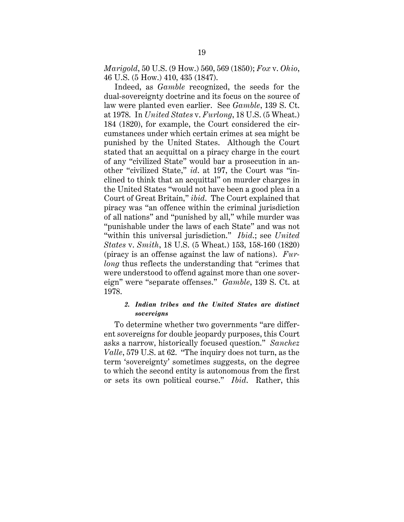*Marigold*, 50 U.S. (9 How.) 560, 569 (1850); *Fox* v. *Ohio*, 46 U.S. (5 How.) 410, 435 (1847).

Indeed, as *Gamble* recognized, the seeds for the dual-sovereignty doctrine and its focus on the source of law were planted even earlier. See *Gamble*, 139 S. Ct. at 1978. In *United States* v. *Furlong*, 18 U.S. (5 Wheat.) 184 (1820), for example, the Court considered the circumstances under which certain crimes at sea might be punished by the United States. Although the Court stated that an acquittal on a piracy charge in the court of any "civilized State" would bar a prosecution in another "civilized State," *id*. at 197, the Court was "inclined to think that an acquittal" on murder charges in the United States "would not have been a good plea in a Court of Great Britain," *ibid*. The Court explained that piracy was "an offence within the criminal jurisdiction of all nations" and "punished by all," while murder was "punishable under the laws of each State" and was not "within this universal jurisdiction." *Ibid*.; see *United States* v. *Smith*, 18 U.S. (5 Wheat.) 153, 158-160 (1820) (piracy is an offense against the law of nations). *Furlong* thus reflects the understanding that "crimes that" were understood to offend against more than one sovereign" were "separate offenses." *Gamble*, 139 S. Ct. at 1978.

### *2. Indian tribes and the United States are distinct sovereigns*

To determine whether two governments "are different sovereigns for double jeopardy purposes, this Court asks a narrow, historically focused question." *Sanchez Valle*, 579 U.S. at 62. "The inquiry does not turn, as the term 'sovereignty' sometimes suggests, on the degree to which the second entity is autonomous from the first or sets its own political course." *Ibid*. Rather, this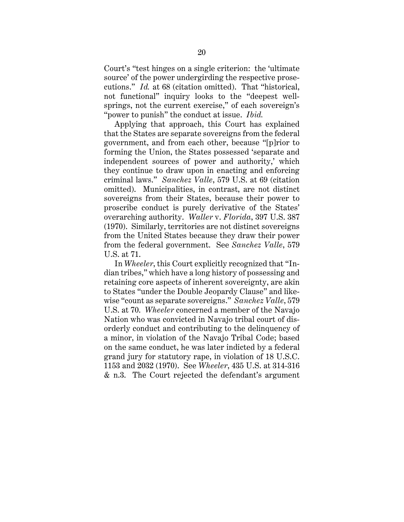Court's "test hinges on a single criterion: the 'ultimate source' of the power undergirding the respective prosecutions." *Id.* at 68 (citation omitted). That "historical, not functional" inquiry looks to the "deepest wellsprings, not the current exercise," of each sovereign's "power to punish" the conduct at issue. *Ibid.*

Applying that approach, this Court has explained that the States are separate sovereigns from the federal government, and from each other, because "[p]rior to forming the Union, the States possessed 'separate and independent sources of power and authority,' which they continue to draw upon in enacting and enforcing criminal laws." *Sanchez Valle*, 579 U.S. at 69 (citation omitted). Municipalities, in contrast, are not distinct sovereigns from their States, because their power to proscribe conduct is purely derivative of the States' overarching authority. *Waller* v. *Florida*, 397 U.S. 387 (1970). Similarly, territories are not distinct sovereigns from the United States because they draw their power from the federal government. See *Sanchez Valle*, 579 U.S. at 71.

In *Wheeler*, this Court explicitly recognized that "Indian tribes," which have a long history of possessing and retaining core aspects of inherent sovereignty, are akin to States "under the Double Jeopardy Clause" and likewise "count as separate sovereigns." *Sanchez Valle*, 579 U.S. at 70. *Wheeler* concerned a member of the Navajo Nation who was convicted in Navajo tribal court of disorderly conduct and contributing to the delinquency of a minor, in violation of the Navajo Tribal Code; based on the same conduct, he was later indicted by a federal grand jury for statutory rape, in violation of 18 U.S.C. 1153 and 2032 (1970). See *Wheeler*, 435 U.S. at 314-316 & n.3. The Court rejected the defendant's argument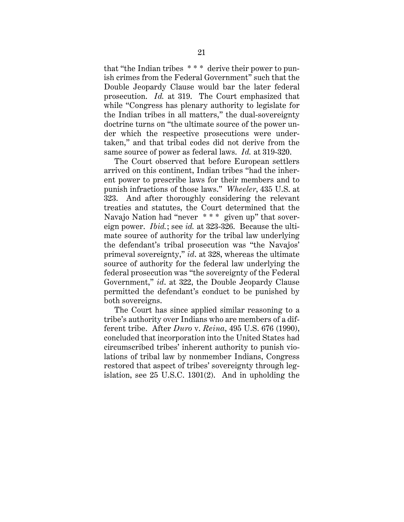that "the Indian tribes \* \* \* derive their power to punish crimes from the Federal Government" such that the Double Jeopardy Clause would bar the later federal prosecution. *Id.* at 319. The Court emphasized that while "Congress has plenary authority to legislate for the Indian tribes in all matters," the dual-sovereignty doctrine turns on "the ultimate source of the power under which the respective prosecutions were undertaken," and that tribal codes did not derive from the same source of power as federal laws. *Id.* at 319-320.

The Court observed that before European settlers arrived on this continent, Indian tribes "had the inherent power to prescribe laws for their members and to punish infractions of those laws." *Wheeler*, 435 U.S. at 323. And after thoroughly considering the relevant treaties and statutes, the Court determined that the Navajo Nation had "never \* \* \* given up" that sovereign power. *Ibid.*; see *id.* at 323-326. Because the ultimate source of authority for the tribal law underlying the defendant's tribal prosecution was "the Navajos' primeval sovereignty," *id*. at 328, whereas the ultimate source of authority for the federal law underlying the federal prosecution was "the sovereignty of the Federal Government," *id*. at 322, the Double Jeopardy Clause permitted the defendant's conduct to be punished by both sovereigns.

The Court has since applied similar reasoning to a tribe's authority over Indians who are members of a different tribe. After *Duro* v. *Reina*, 495 U.S. 676 (1990), concluded that incorporation into the United States had circumscribed tribes' inherent authority to punish violations of tribal law by nonmember Indians, Congress restored that aspect of tribes' sovereignty through legislation, see 25 U.S.C. 1301(2). And in upholding the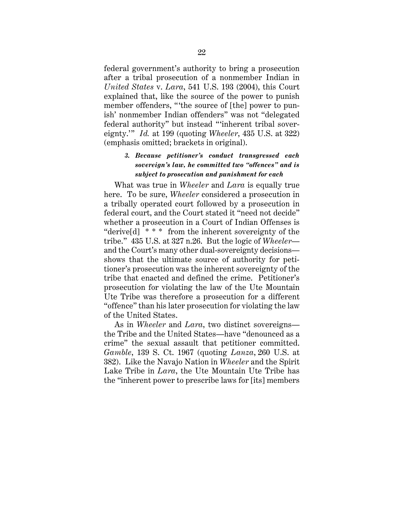federal government's authority to bring a prosecution after a tribal prosecution of a nonmember Indian in *United States* v. *Lara*, 541 U.S. 193 (2004), this Court explained that, like the source of the power to punish member offenders, "the source of [the] power to punish' nonmember Indian offenders" was not "delegated federal authority" but instead "'inherent tribal sovereignty.'" *Id.* at 199 (quoting *Wheeler*, 435 U.S. at 322) (emphasis omitted; brackets in original).

# *3. Because petitioner's conduct transgressed each sovereign's law, he committed two "offences" and is subject to prosecution and punishment for each*

What was true in *Wheeler* and *Lara* is equally true here. To be sure, *Wheeler* considered a prosecution in a tribally operated court followed by a prosecution in federal court, and the Court stated it "need not decide" whether a prosecution in a Court of Indian Offenses is "derive[d] \* \* \* from the inherent sovereignty of the tribe." 435 U.S. at 327 n.26. But the logic of *Wheeler* and the Court's many other dual-sovereignty decisions shows that the ultimate source of authority for petitioner's prosecution was the inherent sovereignty of the tribe that enacted and defined the crime. Petitioner's prosecution for violating the law of the Ute Mountain Ute Tribe was therefore a prosecution for a different "offence" than his later prosecution for violating the law of the United States.

As in *Wheeler* and *Lara*, two distinct sovereigns the Tribe and the United States—have "denounced as a crime" the sexual assault that petitioner committed. *Gamble*, 139 S. Ct. 1967 (quoting *Lanza*, 260 U.S. at 382). Like the Navajo Nation in *Wheeler* and the Spirit Lake Tribe in *Lara*, the Ute Mountain Ute Tribe has the "inherent power to prescribe laws for [its] members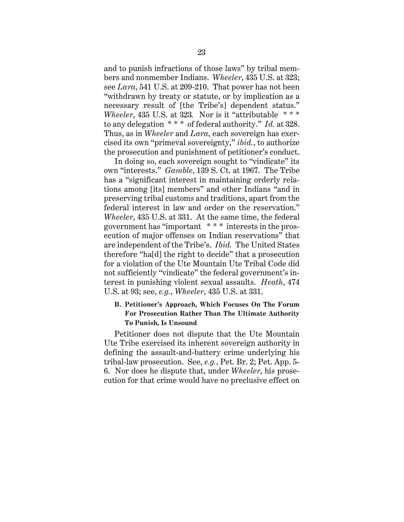and to punish infractions of those laws" by tribal members and nonmember Indians. *Wheeler*, 435 U.S. at 323; see *Lara*, 541 U.S. at 209-210. That power has not been "withdrawn by treaty or statute, or by implication as a necessary result of [the Tribe's] dependent status." *Wheeler*, 435 U.S. at 323*.* Nor is it "attributable \* \* \* to any delegation \* \* \* of federal authority." *Id.* at 328. Thus, as in *Wheeler* and *Lara*, each sovereign has exercised its own "primeval sovereignty," *ibid.*, to authorize the prosecution and punishment of petitioner's conduct.

In doing so, each sovereign sought to "vindicate" its own "interests." *Gamble*, 139 S. Ct. at 1967. The Tribe has a "significant interest in maintaining orderly relations among [its] members" and other Indians "and in preserving tribal customs and traditions, apart from the federal interest in law and order on the reservation." *Wheeler*, 435 U.S. at 331. At the same time, the federal government has "important \* \* \* interests in the prosecution of major offenses on Indian reservations" that are independent of the Tribe's. *Ibid.* The United States therefore "ha[d] the right to decide" that a prosecution for a violation of the Ute Mountain Ute Tribal Code did not sufficiently "vindicate" the federal government's interest in punishing violent sexual assaults. *Heath*, 474 U.S. at 93; see, *e.g.*, *Wheeler*, 435 U.S. at 331.

# **B. Petitioner's Approach, Which Focuses On The Forum For Prosecution Rather Than The Ultimate Authority To Punish, Is Unsound**

Petitioner does not dispute that the Ute Mountain Ute Tribe exercised its inherent sovereign authority in defining the assault-and-battery crime underlying his tribal-law prosecution. See, *e.g.*, Pet. Br. 2; Pet. App. 5- 6. Nor does he dispute that, under *Wheeler*, his prosecution for that crime would have no preclusive effect on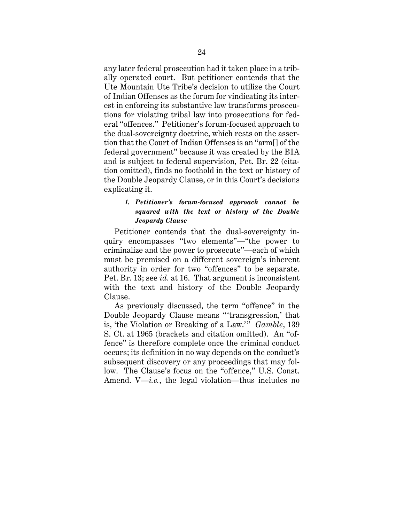any later federal prosecution had it taken place in a tribally operated court. But petitioner contends that the Ute Mountain Ute Tribe's decision to utilize the Court of Indian Offenses as the forum for vindicating its interest in enforcing its substantive law transforms prosecutions for violating tribal law into prosecutions for federal "offences." Petitioner's forum-focused approach to the dual-sovereignty doctrine, which rests on the assertion that the Court of Indian Offenses is an "arm[] of the federal government" because it was created by the BIA and is subject to federal supervision, Pet. Br. 22 (citation omitted), finds no foothold in the text or history of the Double Jeopardy Clause, or in this Court's decisions explicating it.

### *1. Petitioner's forum-focused approach cannot be squared with the text or history of the Double Jeopardy Clause*

Petitioner contends that the dual-sovereignty inquiry encompasses "two elements"—"the power to criminalize and the power to prosecute"—each of which must be premised on a different sovereign's inherent authority in order for two "offences" to be separate. Pet. Br. 13; see *id.* at 16. That argument is inconsistent with the text and history of the Double Jeopardy Clause.

As previously discussed, the term "offence" in the Double Jeopardy Clause means " 'transgression,' that is, 'the Violation or Breaking of a Law.'" *Gamble*, 139 S. Ct. at 1965 (brackets and citation omitted). An "offence" is therefore complete once the criminal conduct occurs; its definition in no way depends on the conduct's subsequent discovery or any proceedings that may follow. The Clause's focus on the "offence," U.S. Const. Amend. V—*i.e.*, the legal violation—thus includes no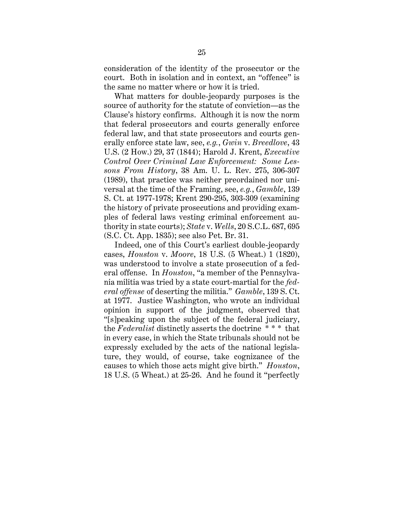consideration of the identity of the prosecutor or the court. Both in isolation and in context, an "offence" is the same no matter where or how it is tried.

What matters for double-jeopardy purposes is the source of authority for the statute of conviction—as the Clause's history confirms. Although it is now the norm that federal prosecutors and courts generally enforce federal law, and that state prosecutors and courts generally enforce state law, see, *e.g.*, *Gwin* v. *Breedlove*, 43 U.S. (2 How.) 29, 37 (1844); Harold J. Krent, *Executive Control Over Criminal Law Enforcement: Some Lessons From History*, 38 Am. U. L. Rev. 275, 306-307 (1989), that practice was neither preordained nor universal at the time of the Framing, see, *e.g.*, *Gamble*, 139 S. Ct. at 1977-1978; Krent 290-295, 303-309 (examining the history of private prosecutions and providing examples of federal laws vesting criminal enforcement authority in state courts); *State* v. *Wells*, 20 S.C.L. 687, 695 (S.C. Ct. App. 1835); see also Pet. Br. 31.

Indeed, one of this Court's earliest double-jeopardy cases, *Houston* v. *Moore*, 18 U.S. (5 Wheat.) 1 (1820), was understood to involve a state prosecution of a federal offense. In *Houston*, "a member of the Pennsylvania militia was tried by a state court-martial for the *federal offense* of deserting the militia." *Gamble*, 139 S. Ct. at 1977. Justice Washington, who wrote an individual opinion in support of the judgment, observed that "[s]peaking upon the subject of the federal judiciary, the *Federalist* distinctly asserts the doctrine \* \* \* that in every case, in which the State tribunals should not be expressly excluded by the acts of the national legislature, they would, of course, take cognizance of the causes to which those acts might give birth." *Houston*, 18 U.S. (5 Wheat.) at 25-26. And he found it "perfectly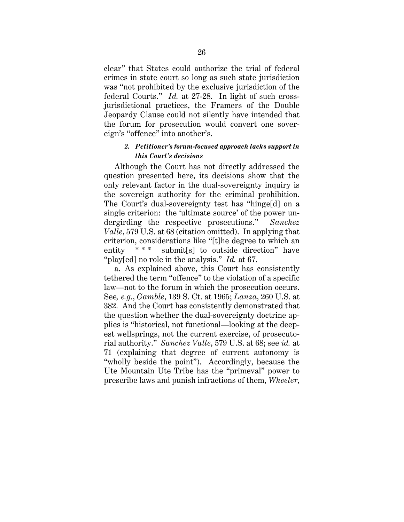clear" that States could authorize the trial of federal crimes in state court so long as such state jurisdiction was "not prohibited by the exclusive jurisdiction of the federal Courts." *Id.* at 27-28. In light of such crossjurisdictional practices, the Framers of the Double Jeopardy Clause could not silently have intended that the forum for prosecution would convert one sovereign's "offence" into another's.

### *2. Petitioner's forum-focused approach lacks support in this Court's decisions*

Although the Court has not directly addressed the question presented here, its decisions show that the only relevant factor in the dual-sovereignty inquiry is the sovereign authority for the criminal prohibition. The Court's dual-sovereignty test has "hinge[d] on a single criterion: the 'ultimate source' of the power undergirding the respective prosecutions." *Sanchez Valle*, 579 U.S. at 68 (citation omitted). In applying that criterion, considerations like "[t]he degree to which an entity \*\*\* submit[s] to outside direction" have "play[ed] no role in the analysis." *Id.* at 67.

a. As explained above, this Court has consistently tethered the term "offence" to the violation of a specific law—not to the forum in which the prosecution occurs. See*, e.g*., *Gamble*, 139 S. Ct. at 1965; *Lanza*, 260 U.S. at 382. And the Court has consistently demonstrated that the question whether the dual-sovereignty doctrine applies is "historical, not functional—looking at the deepest wellsprings, not the current exercise, of prosecutorial authority." *Sanchez Valle*, 579 U.S. at 68; see *id.* at 71 (explaining that degree of current autonomy is "wholly beside the point"). Accordingly, because the Ute Mountain Ute Tribe has the "primeval" power to prescribe laws and punish infractions of them, *Wheeler*,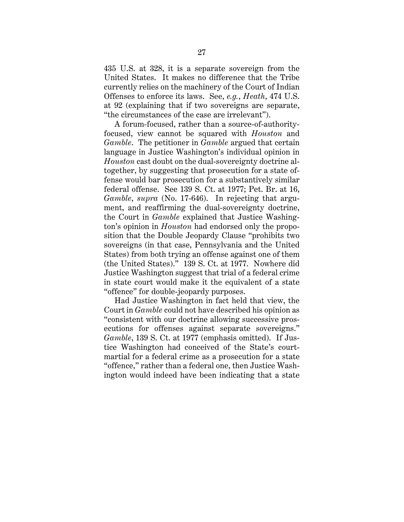435 U.S. at 328, it is a separate sovereign from the United States. It makes no difference that the Tribe currently relies on the machinery of the Court of Indian Offenses to enforce its laws. See, *e.g.*, *Heath*, 474 U.S. at 92 (explaining that if two sovereigns are separate, "the circumstances of the case are irrelevant").

A forum-focused, rather than a source-of-authorityfocused, view cannot be squared with *Houston* and *Gamble*. The petitioner in *Gamble* argued that certain language in Justice Washington's individual opinion in *Houston* cast doubt on the dual-sovereignty doctrine altogether, by suggesting that prosecution for a state offense would bar prosecution for a substantively similar federal offense. See 139 S. Ct. at 1977; Pet. Br. at 16, *Gamble*, *supra* (No. 17-646). In rejecting that argument, and reaffirming the dual-sovereignty doctrine, the Court in *Gamble* explained that Justice Washington's opinion in *Houston* had endorsed only the proposition that the Double Jeopardy Clause "prohibits two sovereigns (in that case, Pennsylvania and the United States) from both trying an offense against one of them (the United States)." 139 S. Ct. at 1977. Nowhere did Justice Washington suggest that trial of a federal crime in state court would make it the equivalent of a state "offence" for double-jeopardy purposes.

Had Justice Washington in fact held that view, the Court in *Gamble* could not have described his opinion as "consistent with our doctrine allowing successive prosecutions for offenses against separate sovereigns." *Gamble*, 139 S. Ct. at 1977 (emphasis omitted). If Justice Washington had conceived of the State's courtmartial for a federal crime as a prosecution for a state "offence," rather than a federal one, then Justice Washington would indeed have been indicating that a state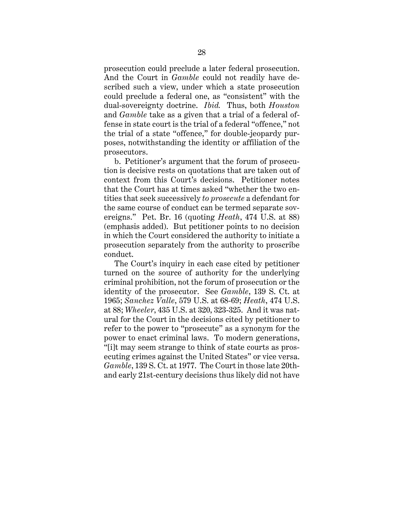prosecution could preclude a later federal prosecution. And the Court in *Gamble* could not readily have described such a view, under which a state prosecution could preclude a federal one, as "consistent" with the dual-sovereignty doctrine. *Ibid.* Thus, both *Houston*  and *Gamble* take as a given that a trial of a federal offense in state court is the trial of a federal "offence," not the trial of a state "offence," for double-jeopardy purposes, notwithstanding the identity or affiliation of the prosecutors.

b. Petitioner's argument that the forum of prosecution is decisive rests on quotations that are taken out of context from this Court's decisions. Petitioner notes that the Court has at times asked "whether the two entities that seek successively *to prosecute* a defendant for the same course of conduct can be termed separate sovereigns." Pet. Br. 16 (quoting *Heath*, 474 U.S. at 88) (emphasis added). But petitioner points to no decision in which the Court considered the authority to initiate a prosecution separately from the authority to proscribe conduct.

The Court's inquiry in each case cited by petitioner turned on the source of authority for the underlying criminal prohibition, not the forum of prosecution or the identity of the prosecutor. See *Gamble*, 139 S. Ct. at 1965; *Sanchez Valle*, 579 U.S. at 68-69; *Heath*, 474 U.S. at 88; *Wheeler*, 435 U.S. at 320, 323-325. And it was natural for the Court in the decisions cited by petitioner to refer to the power to "prosecute" as a synonym for the power to enact criminal laws. To modern generations, "[i]t may seem strange to think of state courts as prosecuting crimes against the United States" or vice versa. *Gamble*, 139 S. Ct. at 1977. The Court in those late 20thand early 21st-century decisions thus likely did not have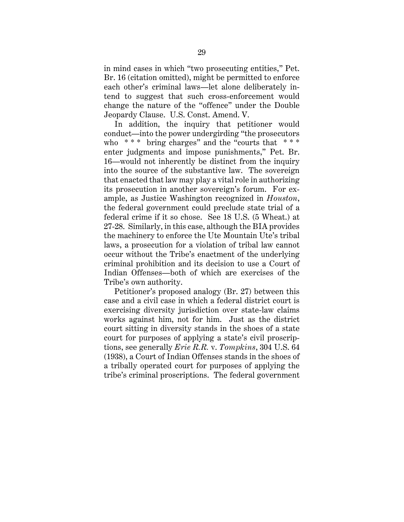in mind cases in which "two prosecuting entities," Pet. Br. 16 (citation omitted), might be permitted to enforce each other's criminal laws—let alone deliberately intend to suggest that such cross-enforcement would change the nature of the "offence" under the Double Jeopardy Clause. U.S. Const. Amend. V.

In addition, the inquiry that petitioner would conduct—into the power undergirding "the prosecutors who  $***$  bring charges" and the "courts that  $***$ enter judgments and impose punishments," Pet. Br. 16—would not inherently be distinct from the inquiry into the source of the substantive law. The sovereign that enacted that law may play a vital role in authorizing its prosecution in another sovereign's forum. For example, as Justice Washington recognized in *Houston*, the federal government could preclude state trial of a federal crime if it so chose. See 18 U.S. (5 Wheat.) at 27-28. Similarly, in this case, although the BIA provides the machinery to enforce the Ute Mountain Ute's tribal laws, a prosecution for a violation of tribal law cannot occur without the Tribe's enactment of the underlying criminal prohibition and its decision to use a Court of Indian Offenses—both of which are exercises of the Tribe's own authority.

Petitioner's proposed analogy (Br. 27) between this case and a civil case in which a federal district court is exercising diversity jurisdiction over state-law claims works against him, not for him. Just as the district court sitting in diversity stands in the shoes of a state court for purposes of applying a state's civil proscriptions, see generally *Erie R.R.* v. *Tompkins*, 304 U.S. 64 (1938), a Court of Indian Offenses stands in the shoes of a tribally operated court for purposes of applying the tribe's criminal proscriptions. The federal government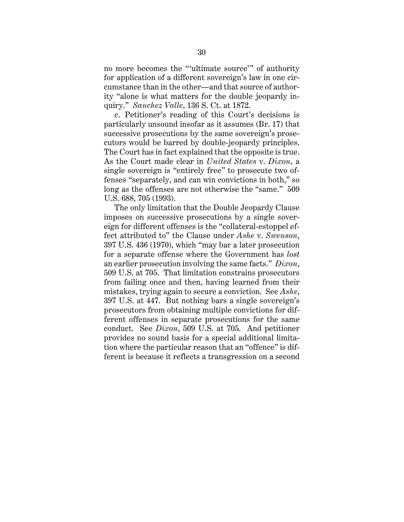no more becomes the "'ultimate source'" of authority for application of a different sovereign's law in one circumstance than in the other—and that source of authority "alone is what matters for the double jeopardy inquiry." *Sanchez Valle*, 136 S. Ct. at 1872.

c. Petitioner's reading of this Court's decisions is particularly unsound insofar as it assumes (Br. 17) that successive prosecutions by the same sovereign's prosecutors would be barred by double-jeopardy principles. The Court has in fact explained that the opposite is true. As the Court made clear in *United States* v. *Dixon*, a single sovereign is "entirely free" to prosecute two offenses "separately, and can win convictions in both," so long as the offenses are not otherwise the "same." 509 U.S. 688, 705 (1993).

The only limitation that the Double Jeopardy Clause imposes on successive prosecutions by a single sovereign for different offenses is the "collateral-estoppel effect attributed to" the Clause under *Ashe* v. *Swenson*, 397 U.S. 436 (1970), which "may bar a later prosecution for a separate offense where the Government has *lost*  an earlier prosecution involving the same facts." *Dixon*, 509 U.S. at 705. That limitation constrains prosecutors from failing once and then, having learned from their mistakes, trying again to secure a conviction. See *Ashe*, 397 U.S. at 447. But nothing bars a single sovereign's prosecutors from obtaining multiple convictions for different offenses in separate prosecutions for the same conduct. See *Dixon*, 509 U.S. at 705. And petitioner provides no sound basis for a special additional limitation where the particular reason that an "offence" is different is because it reflects a transgression on a second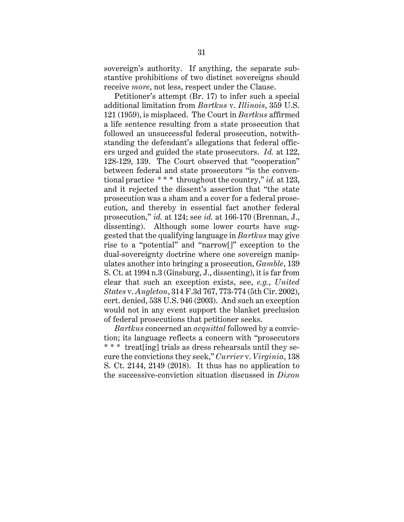sovereign's authority. If anything, the separate substantive prohibitions of two distinct sovereigns should receive *more*, not less, respect under the Clause.

Petitioner's attempt (Br. 17) to infer such a special additional limitation from *Bartkus* v. *Illinois*, 359 U.S. 121 (1959), is misplaced. The Court in *Bartkus* affirmed a life sentence resulting from a state prosecution that followed an unsuccessful federal prosecution, notwithstanding the defendant's allegations that federal officers urged and guided the state prosecutors. *Id.* at 122, 128-129, 139. The Court observed that "cooperation" between federal and state prosecutors "is the conventional practice \* \* \* throughout the country," *id.* at 123, and it rejected the dissent's assertion that "the state prosecution was a sham and a cover for a federal prosecution, and thereby in essential fact another federal prosecution," *id.* at 124; see *id.* at 166-170 (Brennan, J., dissenting). Although some lower courts have suggested that the qualifying language in *Bartkus* may give rise to a "potential" and "narrow[]" exception to the dual-sovereignty doctrine where one sovereign manipulates another into bringing a prosecution, *Gamble*, 139 S. Ct. at 1994 n.3 (Ginsburg, J., dissenting), it is far from clear that such an exception exists, see, *e.g.*, *United States* v. *Angleton*, 314 F.3d 767, 773-774 (5th Cir. 2002), cert. denied, 538 U.S. 946 (2003). And such an exception would not in any event support the blanket preclusion of federal prosecutions that petitioner seeks.

*Bartkus* concerned an *acquittal* followed by a conviction; its language reflects a concern with "prosecutors \* \* \* treat[ing] trials as dress rehearsals until they secure the convictions they seek," *Currier* v. *Virginia*, 138 S. Ct. 2144, 2149 (2018). It thus has no application to the successive-conviction situation discussed in *Dixon*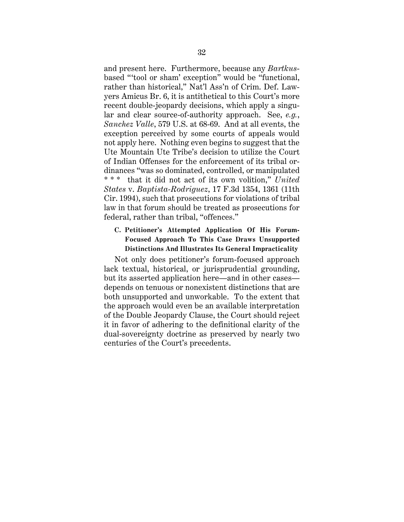and present here. Furthermore, because any *Bartkus*based "'tool or sham' exception" would be "functional, rather than historical," Nat'l Ass'n of Crim. Def. Lawyers Amicus Br. 6, it is antithetical to this Court's more recent double-jeopardy decisions, which apply a singular and clear source-of-authority approach. See, *e.g.*, *Sanchez Valle*, 579 U.S. at 68-69. And at all events, the exception perceived by some courts of appeals would not apply here. Nothing even begins to suggest that the Ute Mountain Ute Tribe's decision to utilize the Court of Indian Offenses for the enforcement of its tribal ordinances "was so dominated, controlled, or manipulated \* \* \* that it did not act of its own volition," *United States* v. *Baptista-Rodriguez*, 17 F.3d 1354, 1361 (11th Cir. 1994), such that prosecutions for violations of tribal law in that forum should be treated as prosecutions for federal, rather than tribal, "offences."

### **C. Petitioner's Attempted Application Of His Forum-Focused Approach To This Case Draws Unsupported Distinctions And Illustrates Its General Impracticality**

Not only does petitioner's forum-focused approach lack textual, historical, or jurisprudential grounding, but its asserted application here—and in other cases depends on tenuous or nonexistent distinctions that are both unsupported and unworkable. To the extent that the approach would even be an available interpretation of the Double Jeopardy Clause, the Court should reject it in favor of adhering to the definitional clarity of the dual-sovereignty doctrine as preserved by nearly two centuries of the Court's precedents.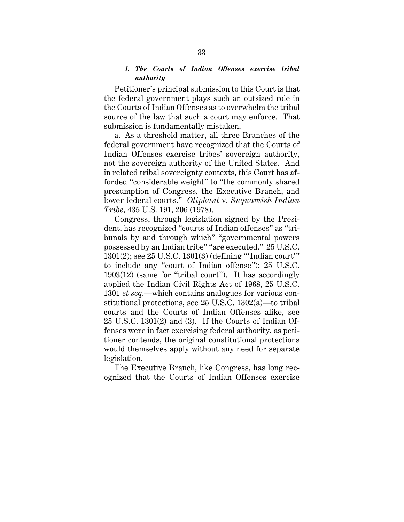### *1. The Courts of Indian Offenses exercise tribal authority*

Petitioner's principal submission to this Court is that the federal government plays such an outsized role in the Courts of Indian Offenses as to overwhelm the tribal source of the law that such a court may enforce. That submission is fundamentally mistaken.

a. As a threshold matter, all three Branches of the federal government have recognized that the Courts of Indian Offenses exercise tribes' sovereign authority, not the sovereign authority of the United States. And in related tribal sovereignty contexts, this Court has afforded "considerable weight" to "the commonly shared presumption of Congress, the Executive Branch, and lower federal courts." *Oliphant* v. *Suquamish Indian Tribe*, 435 U.S. 191, 206 (1978).

Congress, through legislation signed by the President, has recognized "courts of Indian offenses" as "tribunals by and through which" "governmental powers possessed by an Indian tribe" "are executed." 25 U.S.C. 1301(2); see 25 U.S.C. 1301(3) (defining "'Indian court'" to include any "court of Indian offense"); 25 U.S.C. 1903(12) (same for "tribal court"). It has accordingly applied the Indian Civil Rights Act of 1968, 25 U.S.C. 1301 *et seq*.—which contains analogues for various constitutional protections, see 25 U.S.C. 1302(a)—to tribal courts and the Courts of Indian Offenses alike, see 25 U.S.C. 1301(2) and (3). If the Courts of Indian Offenses were in fact exercising federal authority, as petitioner contends, the original constitutional protections would themselves apply without any need for separate legislation.

The Executive Branch, like Congress, has long recognized that the Courts of Indian Offenses exercise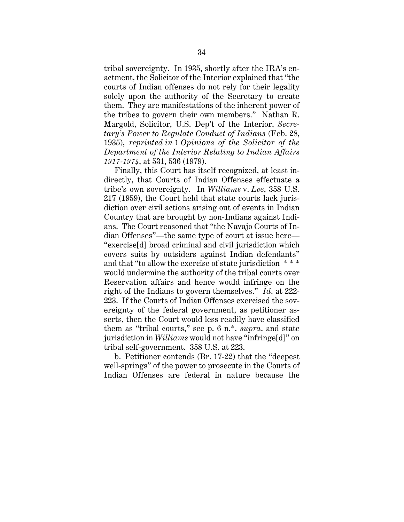tribal sovereignty. In 1935, shortly after the IRA's enactment, the Solicitor of the Interior explained that "the courts of Indian offenses do not rely for their legality solely upon the authority of the Secretary to create them. They are manifestations of the inherent power of the tribes to govern their own members." Nathan R. Margold, Solicitor, U.S. Dep't of the Interior, *Secretary's Power to Regulate Conduct of Indians* (Feb. 28, 1935), *reprinted in* 1 *Opinions of the Solicitor of the Department of the Interior Relating to Indian Affairs 1917-1974*, at 531, 536 (1979).

Finally, this Court has itself recognized, at least indirectly, that Courts of Indian Offenses effectuate a tribe's own sovereignty. In *Williams* v. *Lee*, 358 U.S. 217 (1959), the Court held that state courts lack jurisdiction over civil actions arising out of events in Indian Country that are brought by non-Indians against Indians. The Court reasoned that "the Navajo Courts of Indian Offenses"—the same type of court at issue here— "exercise[d] broad criminal and civil jurisdiction which covers suits by outsiders against Indian defendants" and that "to allow the exercise of state jurisdiction \* \* \* would undermine the authority of the tribal courts over Reservation affairs and hence would infringe on the right of the Indians to govern themselves." *Id*. at 222- 223. If the Courts of Indian Offenses exercised the sovereignty of the federal government, as petitioner asserts, then the Court would less readily have classified them as "tribal courts," see p. 6 n.\*, *supra*, and state jurisdiction in *Williams* would not have "infringe[d]" on tribal self-government. 358 U.S. at 223.

b. Petitioner contends (Br. 17-22) that the "deepest well-springs" of the power to prosecute in the Courts of Indian Offenses are federal in nature because the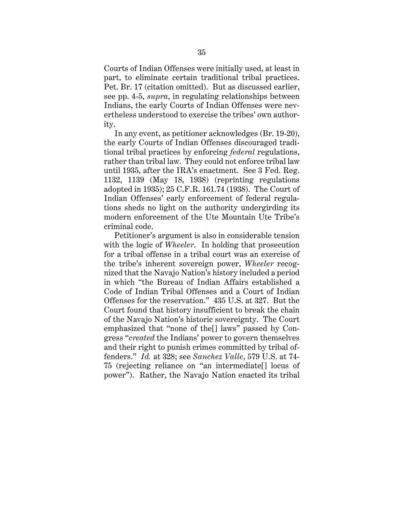Courts of Indian Offenses were initially used, at least in part, to eliminate certain traditional tribal practices. Pet. Br. 17 (citation omitted). But as discussed earlier, see pp. 4-5, *supra*, in regulating relationships between Indians, the early Courts of Indian Offenses were nevertheless understood to exercise the tribes' own authority.

In any event, as petitioner acknowledges (Br. 19-20), the early Courts of Indian Offenses discouraged traditional tribal practices by enforcing *federal* regulations, rather than tribal law. They could not enforce tribal law until 1935, after the IRA's enactment. See 3 Fed. Reg. 1132, 1139 (May 18, 1938) (reprinting regulations adopted in 1935); 25 C.F.R. 161.74 (1938). The Court of Indian Offenses' early enforcement of federal regulations sheds no light on the authority undergirding its modern enforcement of the Ute Mountain Ute Tribe's criminal code.

Petitioner's argument is also in considerable tension with the logic of *Wheeler*. In holding that prosecution for a tribal offense in a tribal court was an exercise of the tribe's inherent sovereign power, *Wheeler* recognized that the Navajo Nation's history included a period in which "the Bureau of Indian Affairs established a Code of Indian Tribal Offenses and a Court of Indian Offenses for the reservation." 435 U.S. at 327. But the Court found that history insufficient to break the chain of the Navajo Nation's historic sovereignty. The Court emphasized that "none of the[] laws" passed by Congress "*created* the Indians' power to govern themselves and their right to punish crimes committed by tribal offenders." *Id.* at 328; see *Sanchez Valle*, 579 U.S. at 74- 75 (rejecting reliance on "an intermediate[] locus of power"). Rather, the Navajo Nation enacted its tribal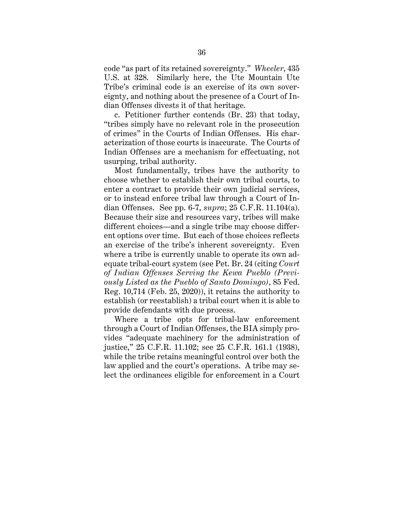code "as part of its retained sovereignty." *Wheeler*, 435 U.S. at 328. Similarly here, the Ute Mountain Ute Tribe's criminal code is an exercise of its own sovereignty, and nothing about the presence of a Court of Indian Offenses divests it of that heritage.

c. Petitioner further contends (Br. 23) that today, "tribes simply have no relevant role in the prosecution of crimes" in the Courts of Indian Offenses. His characterization of those courts is inaccurate. The Courts of Indian Offenses are a mechanism for effectuating, not usurping, tribal authority.

Most fundamentally, tribes have the authority to choose whether to establish their own tribal courts, to enter a contract to provide their own judicial services, or to instead enforce tribal law through a Court of Indian Offenses. See pp. 6-7, *supra*; 25 C.F.R. 11.104(a). Because their size and resources vary, tribes will make different choices—and a single tribe may choose different options over time. But each of those choices reflects an exercise of the tribe's inherent sovereignty. Even where a tribe is currently unable to operate its own adequate tribal-court system (see Pet. Br. 24 (citing *Court of Indian Offenses Serving the Kewa Pueblo (Previously Listed as the Pueblo of Santo Domingo)*, 85 Fed. Reg. 10,714 (Feb. 25, 2020)), it retains the authority to establish (or reestablish) a tribal court when it is able to provide defendants with due process.

Where a tribe opts for tribal-law enforcement through a Court of Indian Offenses, the BIA simply provides "adequate machinery for the administration of justice," 25 C.F.R. 11.102; see 25 C.F.R. 161.1 (1938), while the tribe retains meaningful control over both the law applied and the court's operations. A tribe may select the ordinances eligible for enforcement in a Court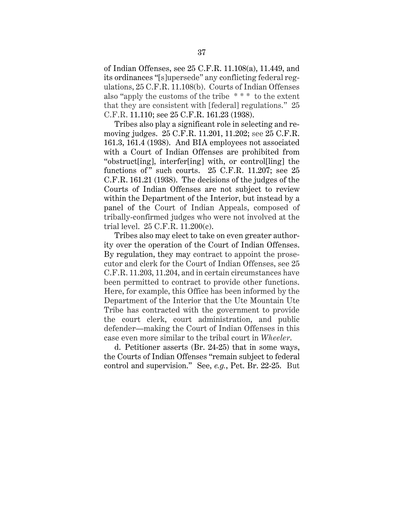of Indian Offenses, see 25 C.F.R. 11.108(a), 11.449, and its ordinances "[s]upersede" any conflicting federal regulations, 25 C.F.R. 11.108(b). Courts of Indian Offenses also "apply the customs of the tribe \* \* \* to the extent that they are consistent with [federal] regulations." 25 C.F.R. 11.110; see 25 C.F.R. 161.23 (1938).

Tribes also play a significant role in selecting and removing judges. 25 C.F.R. 11.201, 11.202; see 25 C.F.R. 161.3, 161.4 (1938). And BIA employees not associated with a Court of Indian Offenses are prohibited from "obstruct[ing], interfer[ing] with, or control[ling] the functions of" such courts.  $25$  C.F.R. 11.207; see  $25$ C.F.R. 161.21 (1938). The decisions of the judges of the Courts of Indian Offenses are not subject to review within the Department of the Interior, but instead by a panel of the Court of Indian Appeals, composed of tribally-confirmed judges who were not involved at the trial level. 25 C.F.R. 11.200(c).

Tribes also may elect to take on even greater authority over the operation of the Court of Indian Offenses. By regulation, they may contract to appoint the prosecutor and clerk for the Court of Indian Offenses, see 25 C.F.R. 11.203, 11.204, and in certain circumstances have been permitted to contract to provide other functions. Here, for example, this Office has been informed by the Department of the Interior that the Ute Mountain Ute Tribe has contracted with the government to provide the court clerk, court administration, and public defender—making the Court of Indian Offenses in this case even more similar to the tribal court in *Wheeler*.

d. Petitioner asserts (Br. 24-25) that in some ways, the Courts of Indian Offenses "remain subject to federal control and supervision." See, *e.g.*, Pet. Br. 22-25. But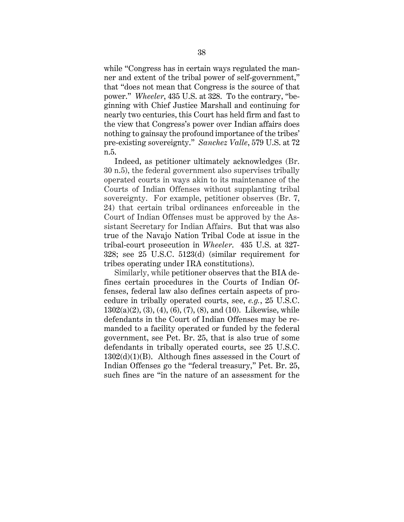while "Congress has in certain ways regulated the manner and extent of the tribal power of self-government," that "does not mean that Congress is the source of that power." *Wheeler*, 435 U.S. at 328. To the contrary, "beginning with Chief Justice Marshall and continuing for nearly two centuries, this Court has held firm and fast to the view that Congress's power over Indian affairs does nothing to gainsay the profound importance of the tribes' pre-existing sovereignty." *Sanchez Valle*, 579 U.S. at 72 n.5.

Indeed, as petitioner ultimately acknowledges (Br. 30 n.5), the federal government also supervises tribally operated courts in ways akin to its maintenance of the Courts of Indian Offenses without supplanting tribal sovereignty. For example, petitioner observes (Br. 7, 24) that certain tribal ordinances enforceable in the Court of Indian Offenses must be approved by the Assistant Secretary for Indian Affairs. But that was also true of the Navajo Nation Tribal Code at issue in the tribal-court prosecution in *Wheeler*. 435 U.S. at 327- 328; see 25 U.S.C. 5123(d) (similar requirement for tribes operating under IRA constitutions).

Similarly, while petitioner observes that the BIA defines certain procedures in the Courts of Indian Offenses, federal law also defines certain aspects of procedure in tribally operated courts, see, *e.g.*, 25 U.S.C.  $1302(a)(2), (3), (4), (6), (7), (8),$  and  $(10)$ . Likewise, while defendants in the Court of Indian Offenses may be remanded to a facility operated or funded by the federal government, see Pet. Br. 25, that is also true of some defendants in tribally operated courts, see 25 U.S.C. 1302(d)(1)(B). Although fines assessed in the Court of Indian Offenses go the "federal treasury," Pet. Br. 25, such fines are "in the nature of an assessment for the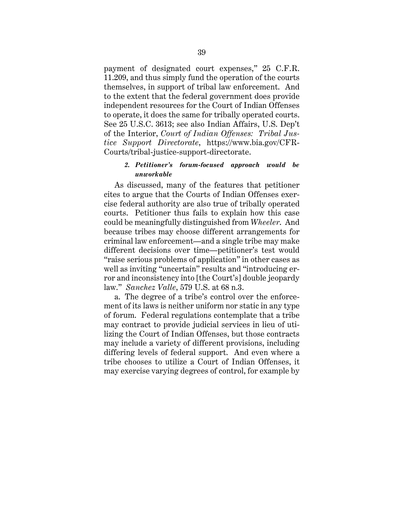payment of designated court expenses," 25 C.F.R. 11.209, and thus simply fund the operation of the courts themselves, in support of tribal law enforcement. And to the extent that the federal government does provide independent resources for the Court of Indian Offenses to operate, it does the same for tribally operated courts. See 25 U.S.C. 3613; see also Indian Affairs, U.S. Dep't of the Interior, *Court of Indian Offenses: Tribal Justice Support Directorate*, https://www.bia.gov/CFR-Courts/tribal-justice-support-directorate.

# *2. Petitioner's forum-focused approach would be unworkable*

As discussed, many of the features that petitioner cites to argue that the Courts of Indian Offenses exercise federal authority are also true of tribally operated courts. Petitioner thus fails to explain how this case could be meaningfully distinguished from *Wheeler*. And because tribes may choose different arrangements for criminal law enforcement—and a single tribe may make different decisions over time—petitioner's test would "raise serious problems of application" in other cases as well as inviting "uncertain" results and "introducing error and inconsistency into [the Court's] double jeopardy law." *Sanchez Valle*, 579 U.S. at 68 n.3.

a. The degree of a tribe's control over the enforcement of its laws is neither uniform nor static in any type of forum. Federal regulations contemplate that a tribe may contract to provide judicial services in lieu of utilizing the Court of Indian Offenses, but those contracts may include a variety of different provisions, including differing levels of federal support. And even where a tribe chooses to utilize a Court of Indian Offenses, it may exercise varying degrees of control, for example by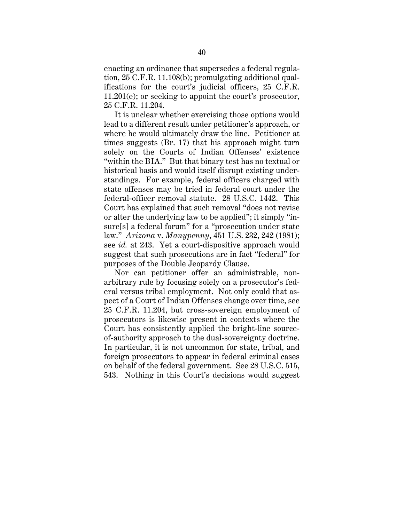enacting an ordinance that supersedes a federal regulation, 25 C.F.R. 11.108(b); promulgating additional qualifications for the court's judicial officers, 25 C.F.R. 11.201(e); or seeking to appoint the court's prosecutor, 25 C.F.R. 11.204.

It is unclear whether exercising those options would lead to a different result under petitioner's approach, or where he would ultimately draw the line. Petitioner at times suggests (Br. 17) that his approach might turn solely on the Courts of Indian Offenses' existence "within the BIA." But that binary test has no textual or historical basis and would itself disrupt existing understandings. For example, federal officers charged with state offenses may be tried in federal court under the federal-officer removal statute. 28 U.S.C. 1442. This Court has explained that such removal "does not revise or alter the underlying law to be applied"; it simply "insure[s] a federal forum" for a "prosecution under state law." *Arizona* v. *Manypenny*, 451 U.S. 232, 242 (1981); see *id.* at 243. Yet a court-dispositive approach would suggest that such prosecutions are in fact "federal" for purposes of the Double Jeopardy Clause.

Nor can petitioner offer an administrable, nonarbitrary rule by focusing solely on a prosecutor's federal versus tribal employment. Not only could that aspect of a Court of Indian Offenses change over time, see 25 C.F.R. 11.204, but cross-sovereign employment of prosecutors is likewise present in contexts where the Court has consistently applied the bright-line sourceof-authority approach to the dual-sovereignty doctrine. In particular, it is not uncommon for state, tribal, and foreign prosecutors to appear in federal criminal cases on behalf of the federal government. See 28 U.S.C. 515, 543. Nothing in this Court's decisions would suggest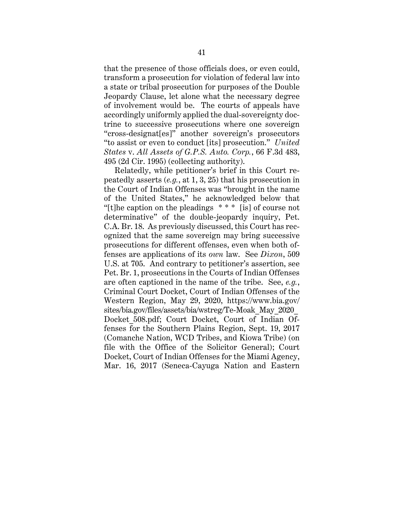that the presence of those officials does, or even could, transform a prosecution for violation of federal law into a state or tribal prosecution for purposes of the Double Jeopardy Clause, let alone what the necessary degree of involvement would be. The courts of appeals have accordingly uniformly applied the dual-sovereignty doctrine to successive prosecutions where one sovereign "cross-designat[es]" another sovereign's prosecutors "to assist or even to conduct [its] prosecution." *United States* v. *All Assets of G.P.S. Auto. Corp.*, 66 F.3d 483, 495 (2d Cir. 1995) (collecting authority).

Relatedly, while petitioner's brief in this Court repeatedly asserts (*e.g.*, at 1, 3, 25) that his prosecution in the Court of Indian Offenses was "brought in the name of the United States," he acknowledged below that "[t]he caption on the pleadings  $***$  [is] of course not determinative" of the double-jeopardy inquiry, Pet. C.A. Br. 18. As previously discussed, this Court has recognized that the same sovereign may bring successive prosecutions for different offenses, even when both offenses are applications of its *own* law. See *Dixon*, 509 U.S. at 705. And contrary to petitioner's assertion, see Pet. Br. 1, prosecutions in the Courts of Indian Offenses are often captioned in the name of the tribe. See, *e.g.*, Criminal Court Docket, Court of Indian Offenses of the Western Region, May 29, 2020, https://www.bia.gov/ sites/bia.gov/files/assets/bia/wstreg/Te-Moak\_May\_2020\_ Docket\_508.pdf; Court Docket, Court of Indian Offenses for the Southern Plains Region, Sept. 19, 2017 (Comanche Nation, WCD Tribes, and Kiowa Tribe) (on file with the Office of the Solicitor General); Court Docket, Court of Indian Offenses for the Miami Agency, Mar. 16, 2017 (Seneca-Cayuga Nation and Eastern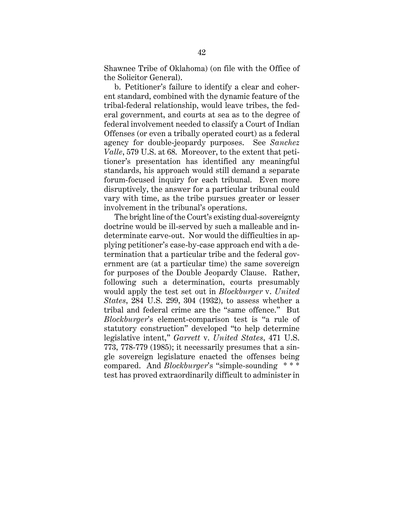Shawnee Tribe of Oklahoma) (on file with the Office of the Solicitor General).

b. Petitioner's failure to identify a clear and coherent standard, combined with the dynamic feature of the tribal-federal relationship, would leave tribes, the federal government, and courts at sea as to the degree of federal involvement needed to classify a Court of Indian Offenses (or even a tribally operated court) as a federal agency for double-jeopardy purposes. See *Sanchez Valle*, 579 U.S. at 68. Moreover, to the extent that petitioner's presentation has identified any meaningful standards, his approach would still demand a separate forum-focused inquiry for each tribunal. Even more disruptively, the answer for a particular tribunal could vary with time, as the tribe pursues greater or lesser involvement in the tribunal's operations.

The bright line of the Court's existing dual-sovereignty doctrine would be ill-served by such a malleable and indeterminate carve-out. Nor would the difficulties in applying petitioner's case-by-case approach end with a determination that a particular tribe and the federal government are (at a particular time) the same sovereign for purposes of the Double Jeopardy Clause. Rather, following such a determination, courts presumably would apply the test set out in *Blockburger* v. *United States*, 284 U.S. 299, 304 (1932), to assess whether a tribal and federal crime are the "same offence." But *Blockburger*'s element-comparison test is "a rule of statutory construction" developed "to help determine legislative intent," *Garrett* v. *United States*, 471 U.S. 773, 778-779 (1985); it necessarily presumes that a single sovereign legislature enacted the offenses being compared. And *Blockburger*'s "simple-sounding \* \* \* test has proved extraordinarily difficult to administer in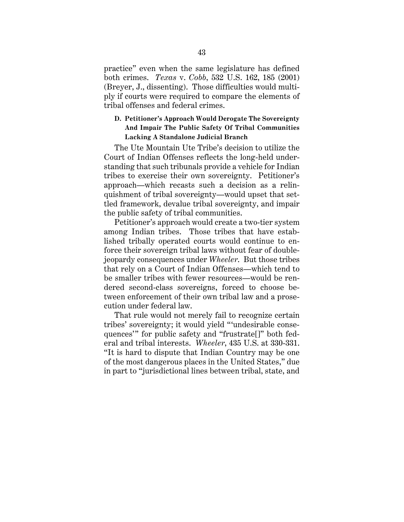practice" even when the same legislature has defined both crimes. *Texas* v. *Cobb*, 532 U.S. 162, 185 (2001) (Breyer, J., dissenting). Those difficulties would multiply if courts were required to compare the elements of tribal offenses and federal crimes.

# **D. Petitioner's Approach Would Derogate The Sovereignty And Impair The Public Safety Of Tribal Communities Lacking A Standalone Judicial Branch**

The Ute Mountain Ute Tribe's decision to utilize the Court of Indian Offenses reflects the long-held understanding that such tribunals provide a vehicle for Indian tribes to exercise their own sovereignty. Petitioner's approach—which recasts such a decision as a relinquishment of tribal sovereignty—would upset that settled framework, devalue tribal sovereignty, and impair the public safety of tribal communities.

Petitioner's approach would create a two-tier system among Indian tribes. Those tribes that have established tribally operated courts would continue to enforce their sovereign tribal laws without fear of doublejeopardy consequences under *Wheeler*. But those tribes that rely on a Court of Indian Offenses—which tend to be smaller tribes with fewer resources—would be rendered second-class sovereigns, forced to choose between enforcement of their own tribal law and a prosecution under federal law.

That rule would not merely fail to recognize certain tribes' sovereignty; it would yield "'undesirable consequences'" for public safety and "frustrate[]" both federal and tribal interests. *Wheeler*, 435 U.S. at 330-331. "It is hard to dispute that Indian Country may be one of the most dangerous places in the United States," due in part to "jurisdictional lines between tribal, state, and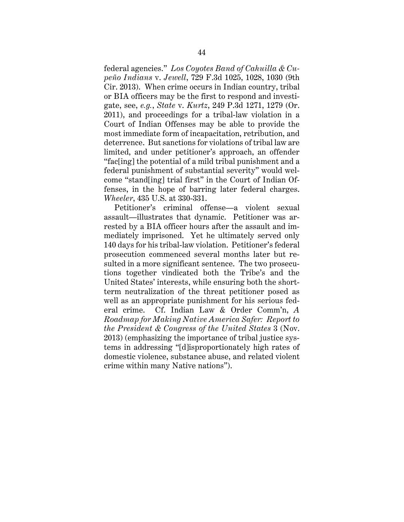federal agencies." *Los Coyotes Band of Cahuilla & Cupeño Indians* v. *Jewell*, 729 F.3d 1025, 1028, 1030 (9th Cir. 2013). When crime occurs in Indian country, tribal or BIA officers may be the first to respond and investigate, see, *e.g.*, *State* v. *Kurtz*, 249 P.3d 1271, 1279 (Or. 2011), and proceedings for a tribal-law violation in a Court of Indian Offenses may be able to provide the most immediate form of incapacitation, retribution, and deterrence. But sanctions for violations of tribal law are limited, and under petitioner's approach, an offender "fac[ing] the potential of a mild tribal punishment and a federal punishment of substantial severity" would welcome "stand[ing] trial first" in the Court of Indian Offenses, in the hope of barring later federal charges. *Wheeler*, 435 U.S. at 330-331.

Petitioner's criminal offense—a violent sexual assault—illustrates that dynamic. Petitioner was arrested by a BIA officer hours after the assault and immediately imprisoned. Yet he ultimately served only 140 days for his tribal-law violation. Petitioner's federal prosecution commenced several months later but resulted in a more significant sentence. The two prosecutions together vindicated both the Tribe's and the United States' interests, while ensuring both the shortterm neutralization of the threat petitioner posed as well as an appropriate punishment for his serious federal crime. Cf. Indian Law & Order Comm'n, *A Roadmap for Making Native America Safer: Report to the President & Congress of the United States* 3 (Nov. 2013) (emphasizing the importance of tribal justice systems in addressing "[d]isproportionately high rates of domestic violence, substance abuse, and related violent crime within many Native nations").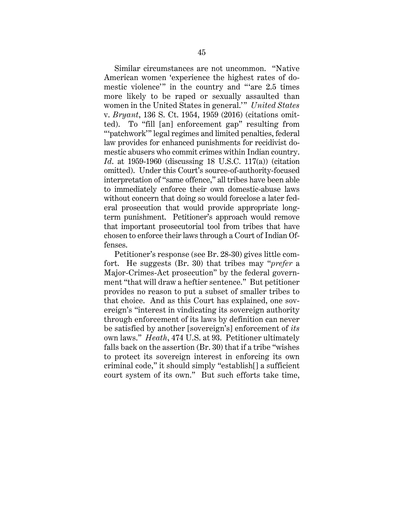Similar circumstances are not uncommon. "Native American women 'experience the highest rates of domestic violence'" in the country and "'are 2.5 times more likely to be raped or sexually assaulted than women in the United States in general.'" *United States* v. *Bryant*, 136 S. Ct. 1954, 1959 (2016) (citations omitted). To "fill [an] enforcement gap" resulting from "'patchwork'" legal regimes and limited penalties, federal law provides for enhanced punishments for recidivist domestic abusers who commit crimes within Indian country. *Id*. at 1959-1960 (discussing 18 U.S.C. 117(a)) (citation omitted). Under this Court's source-of-authority-focused interpretation of "same offence," all tribes have been able to immediately enforce their own domestic-abuse laws without concern that doing so would foreclose a later federal prosecution that would provide appropriate longterm punishment. Petitioner's approach would remove that important prosecutorial tool from tribes that have chosen to enforce their laws through a Court of Indian Offenses.

Petitioner's response (see Br. 28-30) gives little comfort. He suggests (Br. 30) that tribes may "*prefer* a Major-Crimes-Act prosecution" by the federal government "that will draw a heftier sentence." But petitioner provides no reason to put a subset of smaller tribes to that choice. And as this Court has explained, one sovereign's "interest in vindicating its sovereign authority through enforcement of its laws by definition can never be satisfied by another [sovereign's] enforcement of *its* own laws." *Heath*, 474 U.S. at 93. Petitioner ultimately falls back on the assertion (Br. 30) that if a tribe "wishes to protect its sovereign interest in enforcing its own criminal code," it should simply "establish[] a sufficient court system of its own." But such efforts take time,